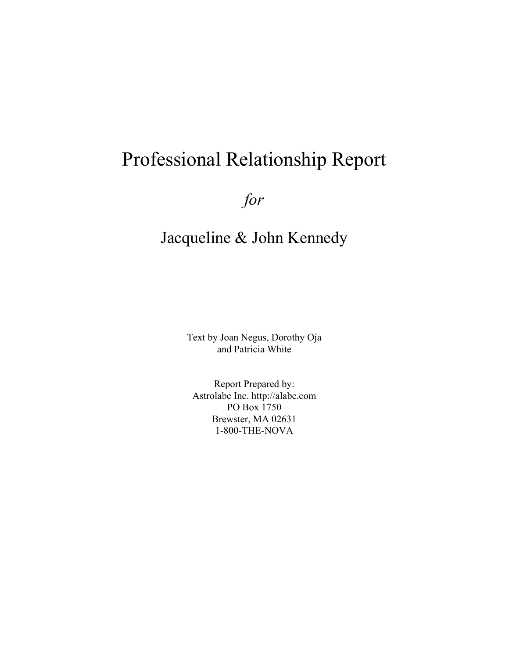# Professional Relationship Report

*for*

# Jacqueline & John Kennedy

Text by Joan Negus, Dorothy Oja and Patricia White

Report Prepared by: Astrolabe Inc. http://alabe.com PO Box 1750 Brewster, MA 02631 1-800-THE-NOVA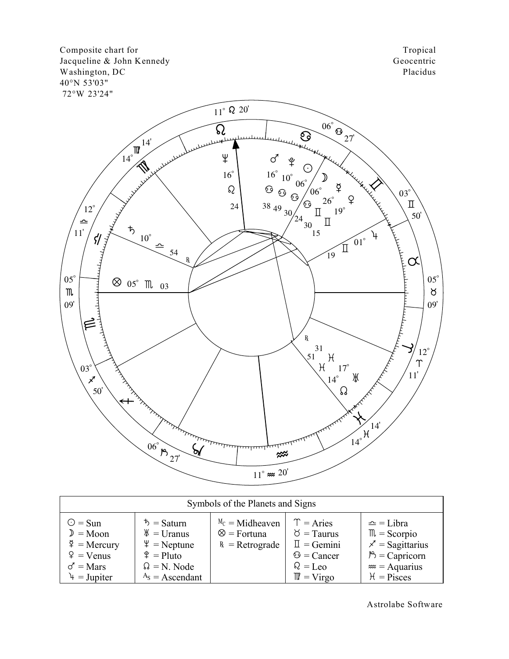Composite chart for Jacqueline & John Kennedy Washington, DC 40°N 53'03" 72°W 23'24"

Tropical Geocentric Placidus



| Symbols of the Planets and Signs                                                                                |                                                                                                                                      |                                                              |                                                                                                                           |                                                                                                                                                         |  |  |  |  |  |  |  |
|-----------------------------------------------------------------------------------------------------------------|--------------------------------------------------------------------------------------------------------------------------------------|--------------------------------------------------------------|---------------------------------------------------------------------------------------------------------------------------|---------------------------------------------------------------------------------------------------------------------------------------------------------|--|--|--|--|--|--|--|
| $\odot$ = Sun<br>$D = Moon$<br>$\frac{3}{4}$ = Mercury<br>$\varphi$ = Venus<br>$\sigma$ = Mars<br>$4 = Jupiter$ | $\bar{b}$ = Saturn<br>$\mathcal{H}$ = Uranus<br>$\Psi$ = Neptune<br>$\frac{6}{7}$ = Pluto<br>$\Omega = N$ . Node<br>$AS$ = Ascendant | $M_c = Midheaven$<br>$\otimes$ = Fortuna<br>$R =$ Retrograde | $T = \text{Aries}$<br>$\delta$ = Taurus<br>$\mathbb{I} =$ Gemini<br>$\odot$ = Cancer<br>$Q = Leo$<br>$\mathbb{M}$ = Virgo | $\triangle$ = Libra<br>$\mathbb{m}$ = Scorpio<br>$\chi$ <sup>-</sup> = Sagittarius<br>$\mathbb{P}$ = Capricorn<br>$\approx$ = Aquarius<br>$H = P$ isces |  |  |  |  |  |  |  |

Astrolabe Software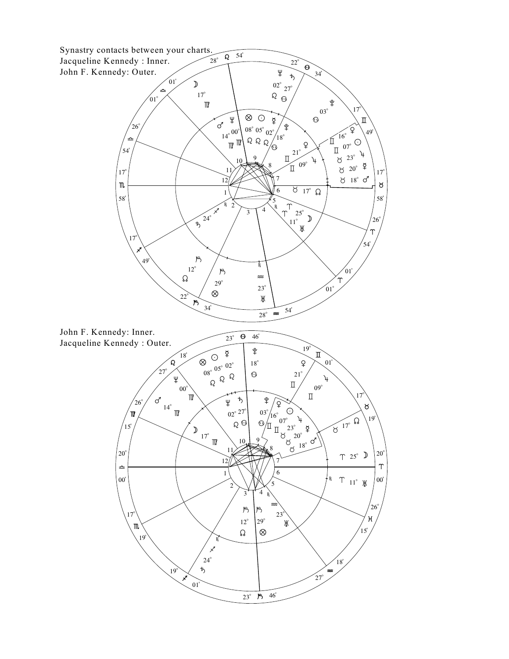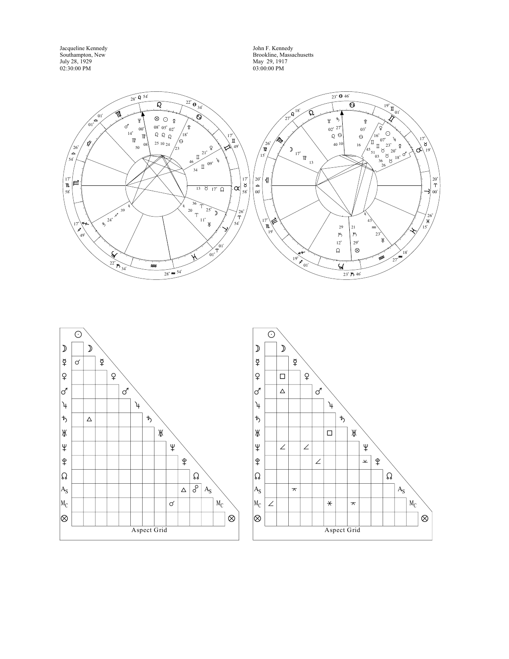Jacqueline Kennedy Southampton, New July 28, 1929 02:30:00 PM

John F. Kennedy Brookline, Massachusetts May 29, 1917 03:00:00 PM





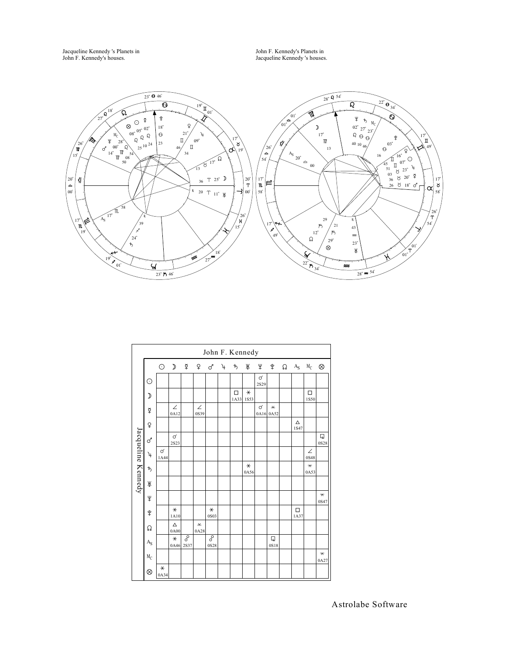Jacqueline Kennedy 's Planets in John F. Kennedy's houses.

John F. Kennedy's Planets in Jacqueline Kennedy 's houses.



|                    | John F. Kennedy |                  |                  |           |                                           |                |               |           |                 |           |                                                  |  |                      |                                 |                                  |
|--------------------|-----------------|------------------|------------------|-----------|-------------------------------------------|----------------|---------------|-----------|-----------------|-----------|--------------------------------------------------|--|----------------------|---------------------------------|----------------------------------|
|                    |                 | $\odot$          | $\mathcal{D}$    | ₫         |                                           | \$ ዓ           | $\mathcal{F}$ | ち         | Ж               | ¥         | $\frac{6}{1}$                                    |  | $\Omega$ $A_S$ $M_C$ |                                 | $\otimes$                        |
|                    | $\odot$         |                  |                  |           |                                           |                |               |           |                 | ♂<br>2S29 |                                                  |  |                      |                                 |                                  |
|                    | ⊅               |                  |                  |           |                                           |                |               | □<br>1A33 | $\star$<br>1S53 |           |                                                  |  |                      | $\Box$<br>1S50                  |                                  |
|                    | ₫               |                  | $\angle$<br>0A12 |           | ∠<br>0S39                                 |                |               |           |                 | ♂         | $\mathbf{\underline{\mathsf{\nu}}}$<br>0A16 0A52 |  |                      |                                 |                                  |
|                    | $\overline{Q}$  |                  |                  |           |                                           |                |               |           |                 |           |                                                  |  | Δ<br>1S47            |                                 |                                  |
|                    | ♂               |                  | $\sigma$<br>2S23 |           |                                           |                |               |           |                 |           |                                                  |  |                      |                                 | Q<br>0S28                        |
| Jacqueline Kennedy | 4               | $\sigma$<br>1A44 |                  |           |                                           |                |               |           |                 |           |                                                  |  |                      | $\angle$<br>0S48                |                                  |
|                    | $\ddagger$      |                  |                  |           |                                           |                |               |           | $\ast$<br>0A56  |           |                                                  |  |                      | $\overline{\mathbf{x}}$<br>0A53 |                                  |
|                    | Ж               |                  |                  |           |                                           |                |               |           |                 |           |                                                  |  |                      |                                 |                                  |
|                    | ¥               |                  |                  |           |                                           |                |               |           |                 |           |                                                  |  |                      |                                 | $\overline{\phantom{a}}$<br>0S47 |
|                    | ิ¥              |                  | $\ast$<br>1A10   |           |                                           | $\ast$<br>0S03 |               |           |                 |           |                                                  |  | □<br>1A37            |                                 |                                  |
|                    | Ω               |                  | Δ<br>0A00        |           | $\mathbf{\underline{\mathsf{v}}}$<br>0A28 |                |               |           |                 |           |                                                  |  |                      |                                 |                                  |
|                    | $A_{S}$         |                  | $\ast$<br>0A46   | S<br>2S37 |                                           | ढ़<br>0S28     |               |           |                 |           | $\overline{\mathbf{u}}$<br>0S18                  |  |                      |                                 |                                  |
|                    | $M_C$           |                  |                  |           |                                           |                |               |           |                 |           |                                                  |  |                      |                                 | $\overline{\phantom{a}}$<br>0A27 |
|                    | ⊗               | $\ast$<br>0A34   |                  |           |                                           |                |               |           |                 |           |                                                  |  |                      |                                 |                                  |

Astrolabe Software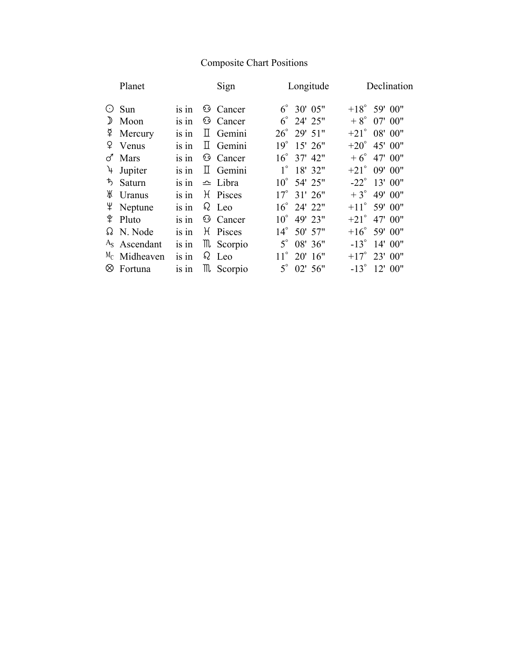# Composite Chart Positions

|               | Planet                   |         | Sign                | Longitude                     | Declination            |
|---------------|--------------------------|---------|---------------------|-------------------------------|------------------------|
| $(\cdot)$     | Sun                      | is in   | <b>6</b> Cancer     | $6^{\circ}$ 30' 05"           | $+18^{\circ}$ 59' 00"  |
| $\mathcal{Y}$ | Moon                     | is in   | <b>6</b> Cancer     | $6^{\circ}$ 24' 25"           | $+8^{\circ}$ 07' 00"   |
|               | $\Phi$ Mercury           | is in   | $\mathbb{I}$ Gemini | $26^{\circ}$ 29' 51"          | $+21^{\circ}$ 08' 00"  |
| ¥.            | Venus                    | is in   | $\mathbb{I}$ Gemini | $19^{\circ}$<br>$15'$ 26"     | $+20^{\circ}$ 45' 00"  |
| ♂             | Mars                     | is in   | <b>6</b> Cancer     | 37' 42"<br>$16^{\circ}$       | $+6^{\circ}$ 47' 00"   |
| 4             | Jupiter                  | is in   | $\mathbb{I}$ Gemini | $1^{\circ}$<br>18' 32"        | $+21^{\circ}$ 09' 00"  |
|               | ち Saturn                 | is in   | $\triangle$ Libra   | 54' 25"<br>$10^{\circ}$       | $-22^{\circ}$ 13' 00"  |
| Ж             | Uranus                   | is in   | H Pisces            | $17^{\circ}$ 31' $26^{\circ}$ | $+3^{\circ}$ 49' 00"   |
|               | Ψ Neptune                | is in   | $\Omega$ Leo        | $16^{\circ}$ 24' 22"          | $+11^{\circ}$ 59' 00"  |
|               | $\frac{6}{7}$ Pluto      | is in   | <b>6</b> Cancer     | $10^{\circ}$<br>49' 23"       | $+21^\circ$<br>47' 00" |
|               | $\Omega$ N. Node         | is in   | H Pisces            | $14^{\circ}$<br>50' 57"       | $+16^{\circ}$ 59' 00"  |
|               | A <sub>s</sub> Ascendant | $is$ in | m Scorpio           | $5^{\circ}$<br>08' 36"        | $-13^{\circ}$ 14' 00"  |
|               | $M_C$ Midheaven          | is in   | $\Omega$ Leo        | $11^{\circ}$<br>$20'$ 16"     | $+17^{\circ}$ 23' 00"  |
| ⊗             | Fortuna                  | is in   | m Scorpio           | $5^\circ$<br>02'56''          | $-13^{\circ}$ 12' 00"  |
|               |                          |         |                     |                               |                        |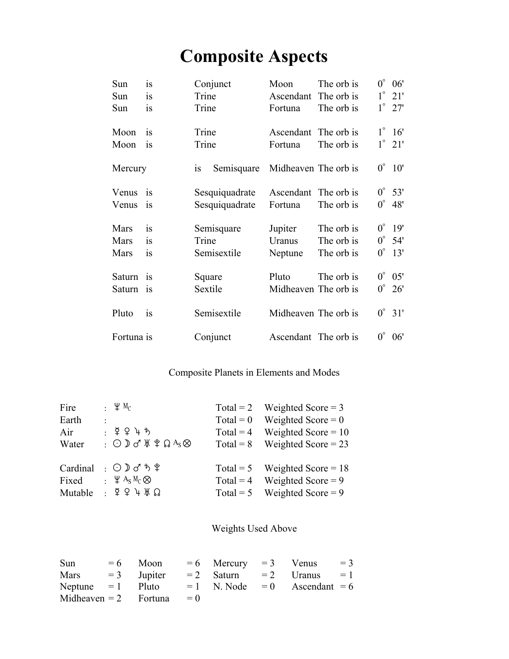# **Composite Aspects**

| Sun         | is        | Conjunct                | Moon                 | The orb is | $0^{\circ}$ | 06'             |
|-------------|-----------|-------------------------|----------------------|------------|-------------|-----------------|
| Sun         | <i>is</i> | Trine                   | Ascendant            | The orb is |             | $1^\circ$ 21'   |
| Sun         | is        | Trine                   | Fortuna              | The orb is |             | $1^\circ$ 27'   |
| Moon        | is        | Trine                   | Ascendant            | The orb is |             | $1^\circ$ 16'   |
| Moon        | <i>is</i> | Trine                   | Fortuna              | The orb is |             | $1^\circ$ 21'   |
| Mercury     |           | Semisquare<br><i>is</i> | Midheaven The orb is |            | $0^{\circ}$ | 10'             |
| Venus       | <b>1S</b> | Sesquiquadrate          | Ascendant            | The orb is | $0^{\circ}$ | 53'             |
| Venus       | 1S        | Sesquiquadrate          | Fortuna              | The orb is | $0^{\circ}$ | 48'             |
| Mars        | is        | Semisquare              | Jupiter              | The orb is | $0^{\circ}$ | 19'             |
| Mars        | is        | Trine                   | Uranus               | The orb is | $0^{\circ}$ | 54'             |
| <b>Mars</b> | is        | Semisextile             | Neptune              | The orb is | $0^{\circ}$ | 13'             |
| Saturn      | is        | Square                  | Pluto                | The orb is | $0^{\circ}$ | 05'             |
| Saturn      | 1S        | Sextile                 | Midheaven The orb is |            |             | $0^{\circ}$ 26' |
| Pluto       | is        | Semisextile             | Midheaven The orb is |            |             | $0^{\circ}$ 31' |
| Fortuna is  |           | Conjunct                | Ascendant The orb is |            | $0^{\circ}$ | 06'             |

# Composite Planets in Elements and Modes

| Fire     | : $\Psi M_C$                                                          |             | Total = 2 Weighted Score = 3    |
|----------|-----------------------------------------------------------------------|-------------|---------------------------------|
| Earth    |                                                                       | $Total = 0$ | Weighted Score $= 0$            |
| Air      | $\frac{1}{2}$ $\frac{5}{4}$ $\frac{1}{2}$ $\frac{1}{4}$ $\frac{1}{2}$ | $Total = 4$ | Weighted Score = $10$           |
| Water    | : $\odot$ ) of \\le \text{ $\Omega$ As $\otimes$                      | $Total = 8$ | Weighted Score $= 23$           |
| Cardinal | : ⊙♪♂ち♀                                                               |             | Total = 5 Weighted Score = $18$ |
| Fixed    | $\cdot \psi$ A <sub>S</sub> M <sub>C</sub> $\otimes$                  |             | Total = 4 Weighted Score = 9    |
| Mutable  | $:$ $\delta$ $\delta$ $\pi$ $\gamma$ $\gamma$                         |             | Total = 5 Weighted Score = 9    |

# Weights Used Above

| Sun               | $= 6$ Moon $= 6$ Mercury $= 3$ Venus |  |                                                 | $=$ 3 |
|-------------------|--------------------------------------|--|-------------------------------------------------|-------|
| Mars $=3$ Jupiter |                                      |  | $= 2$ Saturn $= 2$ Uranus $= 1$                 |       |
|                   |                                      |  | Neptune = 1 Pluto = 1 N. Node = 0 Ascendant = 6 |       |
|                   | Midheaven = 2 Fortuna = $0$          |  |                                                 |       |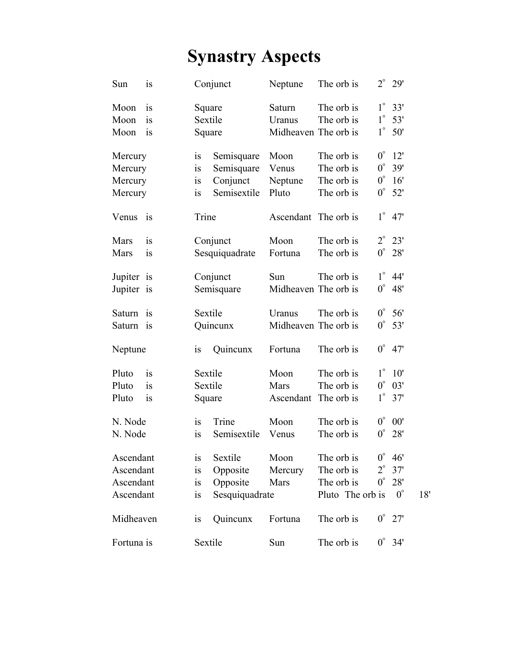# **Synastry Aspects**

| Sun         | is |           | Conjunct       | Neptune              | The orb is       | $2^{\circ}$ | 29'         |     |
|-------------|----|-----------|----------------|----------------------|------------------|-------------|-------------|-----|
| Moon        | 1S | Square    |                | Saturn               | The orb is       | $1^{\circ}$ | 33'         |     |
| Moon        | is | Sextile   |                | Uranus               | The orb is       | $1^{\circ}$ | 53'         |     |
| Moon        | 1S | Square    |                | Midheaven The orb is |                  | $1^{\circ}$ | 50'         |     |
| Mercury     |    | is        | Semisquare     | Moon                 | The orb is       | $0^{\circ}$ | 12'         |     |
| Mercury     |    | is        | Semisquare     | Venus                | The orb is       | $0^{\circ}$ | 39'         |     |
| Mercury     |    | is        | Conjunct       | Neptune              | The orb is       | $0^{\circ}$ | 16'         |     |
| Mercury     |    | is        | Semisextile    | Pluto                | The orb is       | $0^{\circ}$ | 52'         |     |
| Venus       | is | Trine     |                | Ascendant The orb is |                  | $1^{\circ}$ | 47'         |     |
| Mars        | is |           | Conjunct       | Moon                 | The orb is       | $2^{\circ}$ | 23'         |     |
| <b>Mars</b> | is |           | Sesquiquadrate | Fortuna              | The orb is       | $0^{\circ}$ | 28'         |     |
| Jupiter is  |    | Conjunct  |                | Sun                  | The orb is       | $1^{\circ}$ | 44'         |     |
| Jupiter is  |    |           | Semisquare     | Midheaven The orb is |                  | $0^{\circ}$ | 48'         |     |
| Saturn is   |    | Sextile   |                | Uranus               | The orb is       | $0^{\circ}$ | 56'         |     |
| Saturn      | is |           | Quincunx       | Midheaven The orb is |                  | $0^{\circ}$ | 53'         |     |
| Neptune     |    | is        | Quincunx       | Fortuna              | The orb is       | $0^{\circ}$ | 47'         |     |
| Pluto       | is | Sextile   |                | Moon                 | The orb is       | $1^{\circ}$ | 10'         |     |
| Pluto       | is | Sextile   |                | Mars                 | The orb is       | $0^{\circ}$ | 03'         |     |
| Pluto       | is | Square    |                | Ascendant            | The orb is       | $1^{\circ}$ | 37'         |     |
| N. Node     |    | is        | Trine          | Moon                 | The orb is       | $0^{\circ}$ | 00'         |     |
| N. Node     |    | is        | Semisextile    | Venus                | The orb is       | $0^\circ$   | 28'         |     |
| Ascendant   |    | is        | Sextile        | Moon                 | The orb is       | $0^{\circ}$ | 46'         |     |
| Ascendant   |    | is        | Opposite       | Mercury              | The orb is       | $2^{\circ}$ | 37'         |     |
| Ascendant   |    | is        | Opposite       | Mars                 | The orb is       | $0^{\circ}$ | 28'         |     |
| Ascendant   |    | <i>is</i> | Sesquiquadrate |                      | Pluto The orb is |             | $0^{\circ}$ | 18' |
| Midheaven   |    | is        | Quincunx       | Fortuna              | The orb is       | $0^{\circ}$ | 27'         |     |
| Fortuna is  |    | Sextile   |                | Sun                  | The orb is       | $0^{\circ}$ | 34'         |     |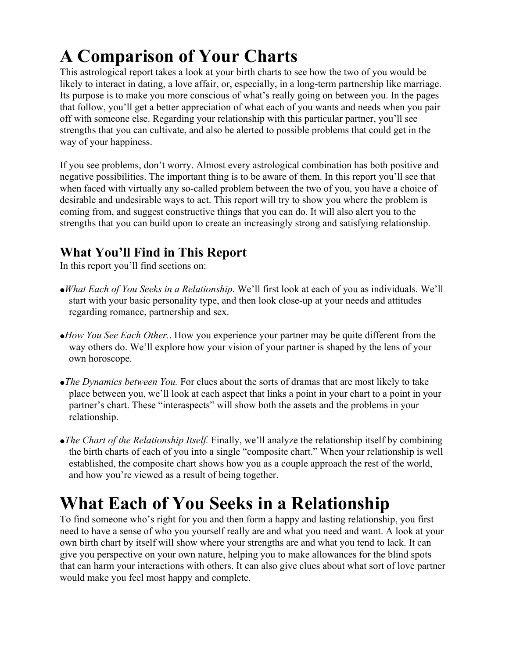# **A Comparison of Your Charts**

This astrological report takes a look at your birth charts to see how the two of you would be likely to interact in dating, a love affair, or, especially, in a long-term partnership like marriage. Its purpose is to make you more conscious of what's really going on between you. In the pages that follow, you'll get a better appreciation of what each of you wants and needs when you pair off with someone else. Regarding your relationship with this particular partner, you'll see strengths that you can cultivate, and also be alerted to possible problems that could get in the way of your happiness.

If you see problems, don't worry. Almost every astrological combination has both positive and negative possibilities. The important thing is to be aware of them. In this report you'll see that when faced with virtually any so-called problem between the two of you, you have a choice of desirable and undesirable ways to act. This report will try to show you where the problem is coming from, and suggest constructive things that you can do. It will also alert you to the strengths that you can build upon to create an increasingly strong and satisfying relationship.

# **What You'll Find in This Report**

In this report you'll find sections on:

- <sup>ó</sup>*What Each of You Seeks in a Relationship.* We'll first look at each of you as individuals. We'll start with your basic personality type, and then look close-up at your needs and attitudes regarding romance, partnership and sex.
- <sup>ó</sup>*How You See Each Other.*. How you experience your partner may be quite different from the way others do. We'll explore how your vision of your partner is shaped by the lens of your own horoscope.
- <sup>ó</sup>*The Dynamics between You.* For clues about the sorts of dramas that are most likely to take place between you, we'll look at each aspect that links a point in your chart to a point in your partner's chart. These "interaspects" will show both the assets and the problems in your relationship.
- <sup>ó</sup>*The Chart of the Relationship Itself.* Finally, we'll analyze the relationship itself by combining the birth charts of each of you into a single "composite chart." When your relationship is well established, the composite chart shows how you as a couple approach the rest of the world, and how you're viewed as a result of being together.

# **What Each of You Seeks in a Relationship**

To find someone who's right for you and then form a happy and lasting relationship, you first need to have a sense of who you yourself really are and what you need and want. A look at your own birth chart by itself will show where your strengths are and what you tend to lack. It can give you perspective on your own nature, helping you to make allowances for the blind spots that can harm your interactions with others. It can also give clues about what sort of love partner would make you feel most happy and complete.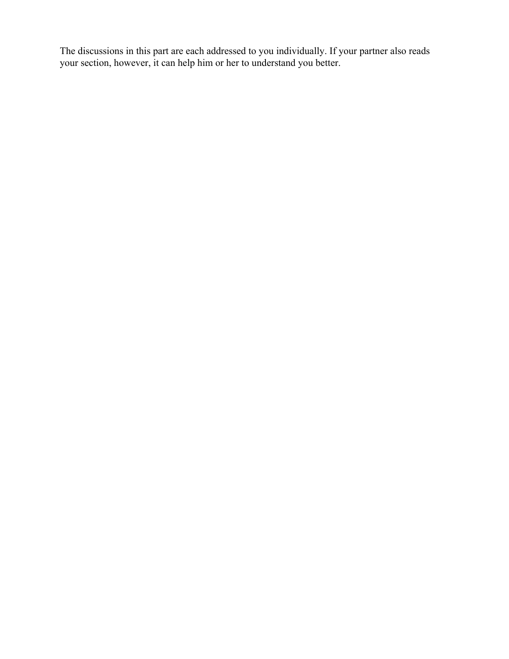The discussions in this part are each addressed to you individually. If your partner also reads your section, however, it can help him or her to understand you better.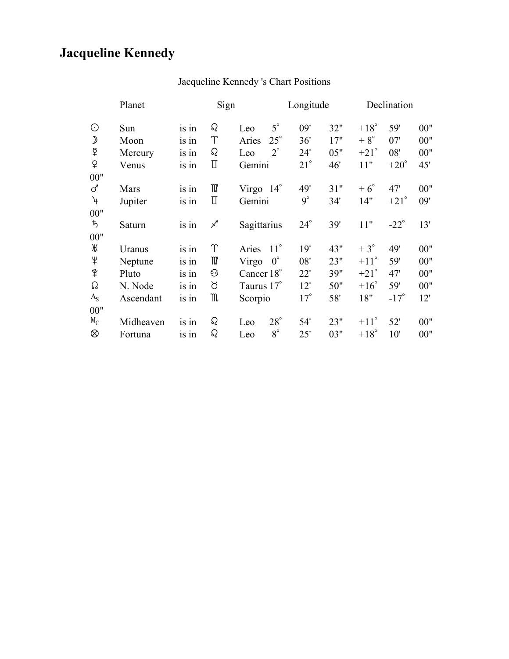# **Jacqueline Kennedy**

|                | Sign<br>Planet |         |          |                       | Longitude    |     |               | Declination   |       |  |
|----------------|----------------|---------|----------|-----------------------|--------------|-----|---------------|---------------|-------|--|
| $\odot$        | Sun            | is in   | Q        | $5^\circ$<br>Leo      | 09'          | 32" | $+18^{\circ}$ | 59'           | 00"   |  |
| $\mathcal{D}$  | Moon           | is in   | Υ        | $25^{\circ}$<br>Aries | 36'          | 17" | $+8^\circ$    | 07'           | 00"   |  |
| ₽              | Mercury        | is in   | Q        | $2^{\circ}$<br>Leo    | 24'          | 05" | $+21^{\circ}$ | 08'           | 00"   |  |
| $\mathsf{P}$   | Venus          | is in   | П        | Gemini                | $21^{\circ}$ | 46' | 11"           | $+20^\circ$   | 45'   |  |
| 00"            |                |         |          |                       |              |     |               |               |       |  |
| ♂              | Mars           | is in   | TV       | Virgo $14^\circ$      | 49'          | 31" | $+6^\circ$    | 47'           | 00"   |  |
| $\overline{r}$ | Jupiter        | is in   | П        | Gemini                | $9^\circ$    | 34' | 14"           | $+21^{\circ}$ | 09'   |  |
| 00"            |                |         |          |                       |              |     |               |               |       |  |
| ゎ              | Saturn         | is in   | ∕        | Sagittarius           | $24^\circ$   | 39' | 11"           | $-22^\circ$   | 13'   |  |
| 00"            |                |         |          |                       |              |     |               |               |       |  |
| Ж              | Uranus         | $is$ in | Υ        | $11^{\circ}$<br>Aries | 19'          | 43" | $+3^\circ$    | 49'           | 00"   |  |
| $\ddagger$     | Neptune        | is in   | TIZ      | $0^{\circ}$<br>Virgo  | 08'          | 23" | $+11^{\circ}$ | 59'           | 00"   |  |
| $\hat{P}$      | Pluto          | is in   | 绞        | Cancer 18°            | 22'          | 39" | $+21^{\circ}$ | 47'           | 00"   |  |
| ᠺ              | N. Node        | is in   | ୪        | Taurus 17°            | 12'          | 50" | $+16^\circ$   | 59'           | $00"$ |  |
| $A_{S}$        | Ascendant      | is in   | M        | Scorpio               | $17^{\circ}$ | 58' | 18"           | $-17^\circ$   | 12'   |  |
| 00"            |                |         |          |                       |              |     |               |               |       |  |
| $M_C$          | Midheaven      | $is$ in | $\Omega$ | $28^\circ$<br>Leo     | 54'          | 23" | $+11^{\circ}$ | 52'           | 00"   |  |
| ⊗              | Fortuna        | 1S 1n   | Q        | $8^\circ$<br>Leo      | 25'          | 03" | $+18^\circ$   | 10'           | 00"   |  |

# Jacqueline Kennedy 's Chart Positions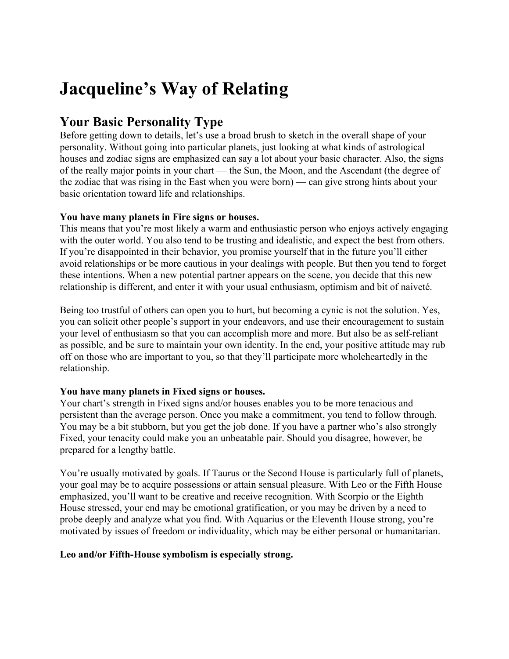# **Jacqueline's Way of Relating**

# **Your Basic Personality Type**

Before getting down to details, let's use a broad brush to sketch in the overall shape of your personality. Without going into particular planets, just looking at what kinds of astrological houses and zodiac signs are emphasized can say a lot about your basic character. Also, the signs of the really major points in your chart — the Sun, the Moon, and the Ascendant (the degree of the zodiac that was rising in the East when you were born) — can give strong hints about your basic orientation toward life and relationships.

# **You have many planets in Fire signs or houses.**

This means that you're most likely a warm and enthusiastic person who enjoys actively engaging with the outer world. You also tend to be trusting and idealistic, and expect the best from others. If you're disappointed in their behavior, you promise yourself that in the future you'll either avoid relationships or be more cautious in your dealings with people. But then you tend to forget these intentions. When a new potential partner appears on the scene, you decide that this new relationship is different, and enter it with your usual enthusiasm, optimism and bit of naiveté.

Being too trustful of others can open you to hurt, but becoming a cynic is not the solution. Yes, you can solicit other people's support in your endeavors, and use their encouragement to sustain your level of enthusiasm so that you can accomplish more and more. But also be as self-reliant as possible, and be sure to maintain your own identity. In the end, your positive attitude may rub off on those who are important to you, so that they'll participate more wholeheartedly in the relationship.

# **You have many planets in Fixed signs or houses.**

Your chart's strength in Fixed signs and/or houses enables you to be more tenacious and persistent than the average person. Once you make a commitment, you tend to follow through. You may be a bit stubborn, but you get the job done. If you have a partner who's also strongly Fixed, your tenacity could make you an unbeatable pair. Should you disagree, however, be prepared for a lengthy battle.

You're usually motivated by goals. If Taurus or the Second House is particularly full of planets, your goal may be to acquire possessions or attain sensual pleasure. With Leo or the Fifth House emphasized, you'll want to be creative and receive recognition. With Scorpio or the Eighth House stressed, your end may be emotional gratification, or you may be driven by a need to probe deeply and analyze what you find. With Aquarius or the Eleventh House strong, you're motivated by issues of freedom or individuality, which may be either personal or humanitarian.

# **Leo and/or Fifth-House symbolism is especially strong.**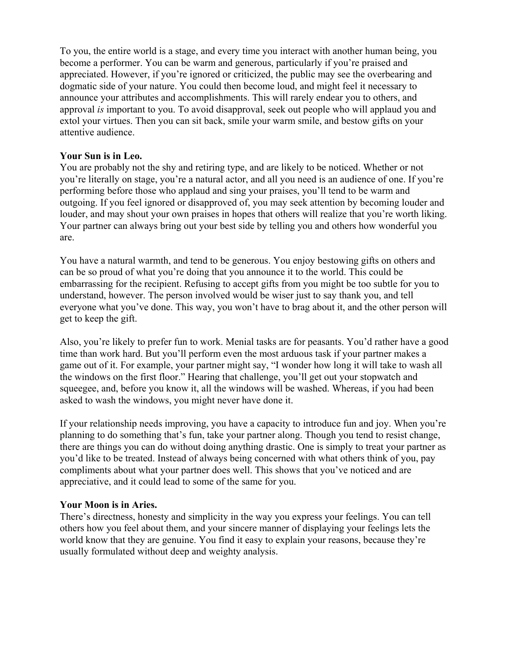To you, the entire world is a stage, and every time you interact with another human being, you become a performer. You can be warm and generous, particularly if you're praised and appreciated. However, if you're ignored or criticized, the public may see the overbearing and dogmatic side of your nature. You could then become loud, and might feel it necessary to announce your attributes and accomplishments. This will rarely endear you to others, and approval *is* important to you. To avoid disapproval, seek out people who will applaud you and extol your virtues. Then you can sit back, smile your warm smile, and bestow gifts on your attentive audience.

# **Your Sun is in Leo.**

You are probably not the shy and retiring type, and are likely to be noticed. Whether or not you're literally on stage, you're a natural actor, and all you need is an audience of one. If you're performing before those who applaud and sing your praises, you'll tend to be warm and outgoing. If you feel ignored or disapproved of, you may seek attention by becoming louder and louder, and may shout your own praises in hopes that others will realize that you're worth liking. Your partner can always bring out your best side by telling you and others how wonderful you are.

You have a natural warmth, and tend to be generous. You enjoy bestowing gifts on others and can be so proud of what you're doing that you announce it to the world. This could be embarrassing for the recipient. Refusing to accept gifts from you might be too subtle for you to understand, however. The person involved would be wiser just to say thank you, and tell everyone what you've done. This way, you won't have to brag about it, and the other person will get to keep the gift.

Also, you're likely to prefer fun to work. Menial tasks are for peasants. You'd rather have a good time than work hard. But you'll perform even the most arduous task if your partner makes a game out of it. For example, your partner might say, "I wonder how long it will take to wash all the windows on the first floor." Hearing that challenge, you'll get out your stopwatch and squeegee, and, before you know it, all the windows will be washed. Whereas, if you had been asked to wash the windows, you might never have done it.

If your relationship needs improving, you have a capacity to introduce fun and joy. When you're planning to do something that's fun, take your partner along. Though you tend to resist change, there are things you can do without doing anything drastic. One is simply to treat your partner as you'd like to be treated. Instead of always being concerned with what others think of you, pay compliments about what your partner does well. This shows that you've noticed and are appreciative, and it could lead to some of the same for you.

# **Your Moon is in Aries.**

There's directness, honesty and simplicity in the way you express your feelings. You can tell others how you feel about them, and your sincere manner of displaying your feelings lets the world know that they are genuine. You find it easy to explain your reasons, because they're usually formulated without deep and weighty analysis.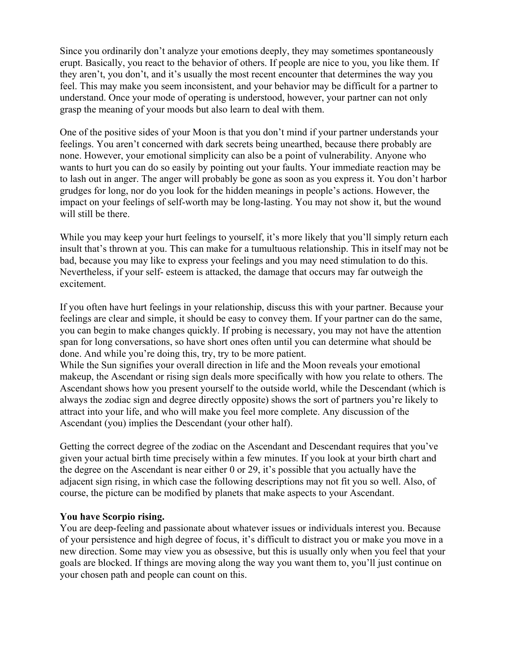Since you ordinarily don't analyze your emotions deeply, they may sometimes spontaneously erupt. Basically, you react to the behavior of others. If people are nice to you, you like them. If they aren't, you don't, and it's usually the most recent encounter that determines the way you feel. This may make you seem inconsistent, and your behavior may be difficult for a partner to understand. Once your mode of operating is understood, however, your partner can not only grasp the meaning of your moods but also learn to deal with them.

One of the positive sides of your Moon is that you don't mind if your partner understands your feelings. You aren't concerned with dark secrets being unearthed, because there probably are none. However, your emotional simplicity can also be a point of vulnerability. Anyone who wants to hurt you can do so easily by pointing out your faults. Your immediate reaction may be to lash out in anger. The anger will probably be gone as soon as you express it. You don't harbor grudges for long, nor do you look for the hidden meanings in people's actions. However, the impact on your feelings of self-worth may be long-lasting. You may not show it, but the wound will still be there.

While you may keep your hurt feelings to yourself, it's more likely that you'll simply return each insult that's thrown at you. This can make for a tumultuous relationship. This in itself may not be bad, because you may like to express your feelings and you may need stimulation to do this. Nevertheless, if your self- esteem is attacked, the damage that occurs may far outweigh the excitement.

If you often have hurt feelings in your relationship, discuss this with your partner. Because your feelings are clear and simple, it should be easy to convey them. If your partner can do the same, you can begin to make changes quickly. If probing is necessary, you may not have the attention span for long conversations, so have short ones often until you can determine what should be done. And while you're doing this, try, try to be more patient.

While the Sun signifies your overall direction in life and the Moon reveals your emotional makeup, the Ascendant or rising sign deals more specifically with how you relate to others. The Ascendant shows how you present yourself to the outside world, while the Descendant (which is always the zodiac sign and degree directly opposite) shows the sort of partners you're likely to attract into your life, and who will make you feel more complete. Any discussion of the Ascendant (you) implies the Descendant (your other half).

Getting the correct degree of the zodiac on the Ascendant and Descendant requires that you've given your actual birth time precisely within a few minutes. If you look at your birth chart and the degree on the Ascendant is near either 0 or 29, it's possible that you actually have the adjacent sign rising, in which case the following descriptions may not fit you so well. Also, of course, the picture can be modified by planets that make aspects to your Ascendant.

# **You have Scorpio rising.**

You are deep-feeling and passionate about whatever issues or individuals interest you. Because of your persistence and high degree of focus, it's difficult to distract you or make you move in a new direction. Some may view you as obsessive, but this is usually only when you feel that your goals are blocked. If things are moving along the way you want them to, you'll just continue on your chosen path and people can count on this.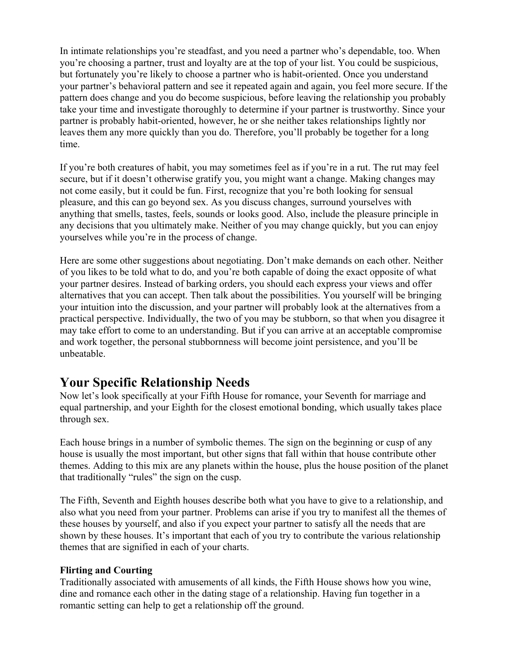In intimate relationships you're steadfast, and you need a partner who's dependable, too. When you're choosing a partner, trust and loyalty are at the top of your list. You could be suspicious, but fortunately you're likely to choose a partner who is habit-oriented. Once you understand your partner's behavioral pattern and see it repeated again and again, you feel more secure. If the pattern does change and you do become suspicious, before leaving the relationship you probably take your time and investigate thoroughly to determine if your partner is trustworthy. Since your partner is probably habit-oriented, however, he or she neither takes relationships lightly nor leaves them any more quickly than you do. Therefore, you'll probably be together for a long time.

If you're both creatures of habit, you may sometimes feel as if you're in a rut. The rut may feel secure, but if it doesn't otherwise gratify you, you might want a change. Making changes may not come easily, but it could be fun. First, recognize that you're both looking for sensual pleasure, and this can go beyond sex. As you discuss changes, surround yourselves with anything that smells, tastes, feels, sounds or looks good. Also, include the pleasure principle in any decisions that you ultimately make. Neither of you may change quickly, but you can enjoy yourselves while you're in the process of change.

Here are some other suggestions about negotiating. Don't make demands on each other. Neither of you likes to be told what to do, and you're both capable of doing the exact opposite of what your partner desires. Instead of barking orders, you should each express your views and offer alternatives that you can accept. Then talk about the possibilities. You yourself will be bringing your intuition into the discussion, and your partner will probably look at the alternatives from a practical perspective. Individually, the two of you may be stubborn, so that when you disagree it may take effort to come to an understanding. But if you can arrive at an acceptable compromise and work together, the personal stubbornness will become joint persistence, and you'll be unbeatable.

# **Your Specific Relationship Needs**

Now let's look specifically at your Fifth House for romance, your Seventh for marriage and equal partnership, and your Eighth for the closest emotional bonding, which usually takes place through sex.

Each house brings in a number of symbolic themes. The sign on the beginning or cusp of any house is usually the most important, but other signs that fall within that house contribute other themes. Adding to this mix are any planets within the house, plus the house position of the planet that traditionally "rules" the sign on the cusp.

The Fifth, Seventh and Eighth houses describe both what you have to give to a relationship, and also what you need from your partner. Problems can arise if you try to manifest all the themes of these houses by yourself, and also if you expect your partner to satisfy all the needs that are shown by these houses. It's important that each of you try to contribute the various relationship themes that are signified in each of your charts.

# **Flirting and Courting**

Traditionally associated with amusements of all kinds, the Fifth House shows how you wine, dine and romance each other in the dating stage of a relationship. Having fun together in a romantic setting can help to get a relationship off the ground.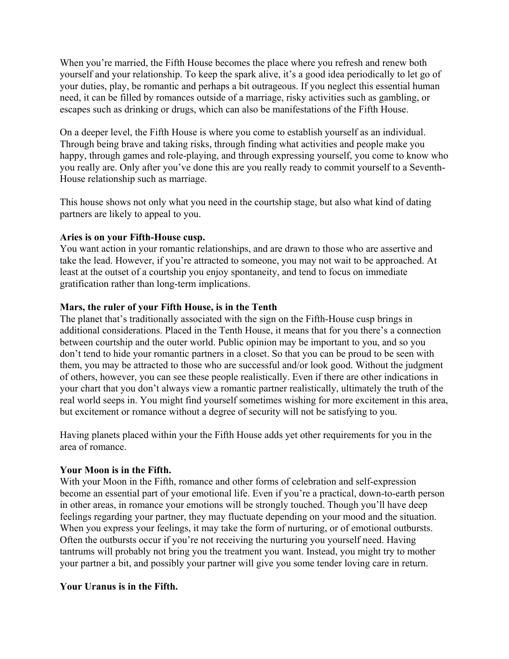When you're married, the Fifth House becomes the place where you refresh and renew both yourself and your relationship. To keep the spark alive, it's a good idea periodically to let go of your duties, play, be romantic and perhaps a bit outrageous. If you neglect this essential human need, it can be filled by romances outside of a marriage, risky activities such as gambling, or escapes such as drinking or drugs, which can also be manifestations of the Fifth House.

On a deeper level, the Fifth House is where you come to establish yourself as an individual. Through being brave and taking risks, through finding what activities and people make you happy, through games and role-playing, and through expressing yourself, you come to know who you really are. Only after you've done this are you really ready to commit yourself to a Seventh-House relationship such as marriage.

This house shows not only what you need in the courtship stage, but also what kind of dating partners are likely to appeal to you.

# **Aries is on your Fifth-House cusp.**

You want action in your romantic relationships, and are drawn to those who are assertive and take the lead. However, if you're attracted to someone, you may not wait to be approached. At least at the outset of a courtship you enjoy spontaneity, and tend to focus on immediate gratification rather than long-term implications.

# **Mars, the ruler of your Fifth House, is in the Tenth**

The planet that's traditionally associated with the sign on the Fifth-House cusp brings in additional considerations. Placed in the Tenth House, it means that for you there's a connection between courtship and the outer world. Public opinion may be important to you, and so you don't tend to hide your romantic partners in a closet. So that you can be proud to be seen with them, you may be attracted to those who are successful and/or look good. Without the judgment of others, however, you can see these people realistically. Even if there are other indications in your chart that you don't always view a romantic partner realistically, ultimately the truth of the real world seeps in. You might find yourself sometimes wishing for more excitement in this area, but excitement or romance without a degree of security will not be satisfying to you.

Having planets placed within your the Fifth House adds yet other requirements for you in the area of romance.

# **Your Moon is in the Fifth.**

With your Moon in the Fifth, romance and other forms of celebration and self-expression become an essential part of your emotional life. Even if you're a practical, down-to-earth person in other areas, in romance your emotions will be strongly touched. Though you'll have deep feelings regarding your partner, they may fluctuate depending on your mood and the situation. When you express your feelings, it may take the form of nurturing, or of emotional outbursts. Often the outbursts occur if you're not receiving the nurturing you yourself need. Having tantrums will probably not bring you the treatment you want. Instead, you might try to mother your partner a bit, and possibly your partner will give you some tender loving care in return.

# **Your Uranus is in the Fifth.**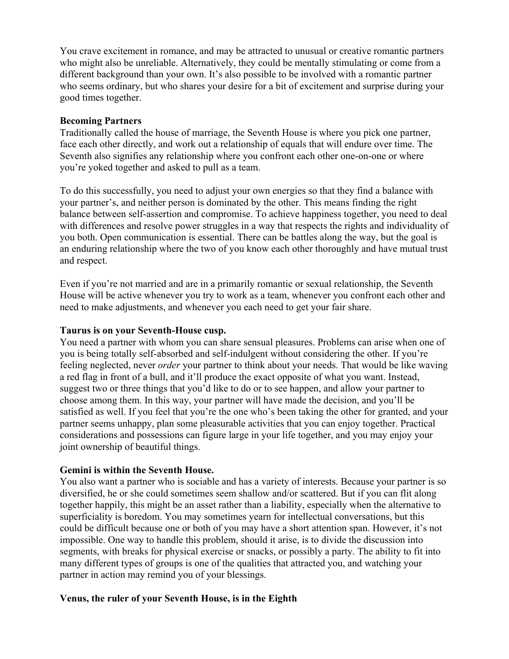You crave excitement in romance, and may be attracted to unusual or creative romantic partners who might also be unreliable. Alternatively, they could be mentally stimulating or come from a different background than your own. It's also possible to be involved with a romantic partner who seems ordinary, but who shares your desire for a bit of excitement and surprise during your good times together.

#### **Becoming Partners**

Traditionally called the house of marriage, the Seventh House is where you pick one partner, face each other directly, and work out a relationship of equals that will endure over time. The Seventh also signifies any relationship where you confront each other one-on-one or where you're yoked together and asked to pull as a team.

To do this successfully, you need to adjust your own energies so that they find a balance with your partner's, and neither person is dominated by the other. This means finding the right balance between self-assertion and compromise. To achieve happiness together, you need to deal with differences and resolve power struggles in a way that respects the rights and individuality of you both. Open communication is essential. There can be battles along the way, but the goal is an enduring relationship where the two of you know each other thoroughly and have mutual trust and respect.

Even if you're not married and are in a primarily romantic or sexual relationship, the Seventh House will be active whenever you try to work as a team, whenever you confront each other and need to make adjustments, and whenever you each need to get your fair share.

#### **Taurus is on your Seventh-House cusp.**

You need a partner with whom you can share sensual pleasures. Problems can arise when one of you is being totally self-absorbed and self-indulgent without considering the other. If you're feeling neglected, never *order* your partner to think about your needs. That would be like waving a red flag in front of a bull, and it'll produce the exact opposite of what you want. Instead, suggest two or three things that you'd like to do or to see happen, and allow your partner to choose among them. In this way, your partner will have made the decision, and you'll be satisfied as well. If you feel that you're the one who's been taking the other for granted, and your partner seems unhappy, plan some pleasurable activities that you can enjoy together. Practical considerations and possessions can figure large in your life together, and you may enjoy your joint ownership of beautiful things.

# **Gemini is within the Seventh House.**

You also want a partner who is sociable and has a variety of interests. Because your partner is so diversified, he or she could sometimes seem shallow and/or scattered. But if you can flit along together happily, this might be an asset rather than a liability, especially when the alternative to superficiality is boredom. You may sometimes yearn for intellectual conversations, but this could be difficult because one or both of you may have a short attention span. However, it's not impossible. One way to handle this problem, should it arise, is to divide the discussion into segments, with breaks for physical exercise or snacks, or possibly a party. The ability to fit into many different types of groups is one of the qualities that attracted you, and watching your partner in action may remind you of your blessings.

#### **Venus, the ruler of your Seventh House, is in the Eighth**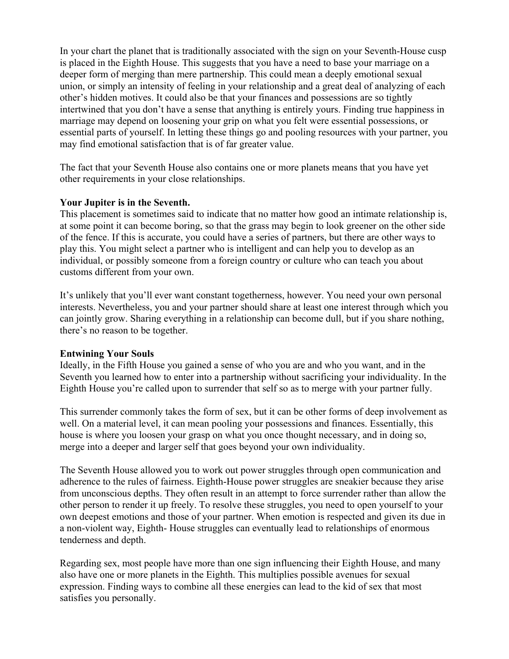In your chart the planet that is traditionally associated with the sign on your Seventh-House cusp is placed in the Eighth House. This suggests that you have a need to base your marriage on a deeper form of merging than mere partnership. This could mean a deeply emotional sexual union, or simply an intensity of feeling in your relationship and a great deal of analyzing of each other's hidden motives. It could also be that your finances and possessions are so tightly intertwined that you don't have a sense that anything is entirely yours. Finding true happiness in marriage may depend on loosening your grip on what you felt were essential possessions, or essential parts of yourself. In letting these things go and pooling resources with your partner, you may find emotional satisfaction that is of far greater value.

The fact that your Seventh House also contains one or more planets means that you have yet other requirements in your close relationships.

# **Your Jupiter is in the Seventh.**

This placement is sometimes said to indicate that no matter how good an intimate relationship is, at some point it can become boring, so that the grass may begin to look greener on the other side of the fence. If this is accurate, you could have a series of partners, but there are other ways to play this. You might select a partner who is intelligent and can help you to develop as an individual, or possibly someone from a foreign country or culture who can teach you about customs different from your own.

It's unlikely that you'll ever want constant togetherness, however. You need your own personal interests. Nevertheless, you and your partner should share at least one interest through which you can jointly grow. Sharing everything in a relationship can become dull, but if you share nothing, there's no reason to be together.

# **Entwining Your Souls**

Ideally, in the Fifth House you gained a sense of who you are and who you want, and in the Seventh you learned how to enter into a partnership without sacrificing your individuality. In the Eighth House you're called upon to surrender that self so as to merge with your partner fully.

This surrender commonly takes the form of sex, but it can be other forms of deep involvement as well. On a material level, it can mean pooling your possessions and finances. Essentially, this house is where you loosen your grasp on what you once thought necessary, and in doing so, merge into a deeper and larger self that goes beyond your own individuality.

The Seventh House allowed you to work out power struggles through open communication and adherence to the rules of fairness. Eighth-House power struggles are sneakier because they arise from unconscious depths. They often result in an attempt to force surrender rather than allow the other person to render it up freely. To resolve these struggles, you need to open yourself to your own deepest emotions and those of your partner. When emotion is respected and given its due in a non-violent way, Eighth- House struggles can eventually lead to relationships of enormous tenderness and depth.

Regarding sex, most people have more than one sign influencing their Eighth House, and many also have one or more planets in the Eighth. This multiplies possible avenues for sexual expression. Finding ways to combine all these energies can lead to the kid of sex that most satisfies you personally.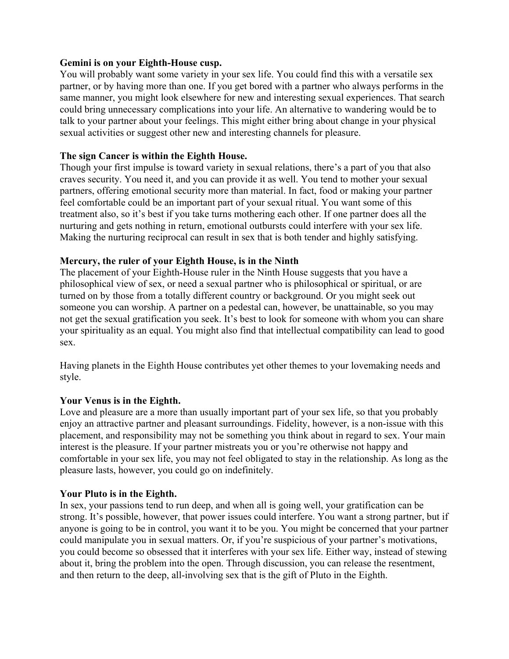# **Gemini is on your Eighth-House cusp.**

You will probably want some variety in your sex life. You could find this with a versatile sex partner, or by having more than one. If you get bored with a partner who always performs in the same manner, you might look elsewhere for new and interesting sexual experiences. That search could bring unnecessary complications into your life. An alternative to wandering would be to talk to your partner about your feelings. This might either bring about change in your physical sexual activities or suggest other new and interesting channels for pleasure.

# **The sign Cancer is within the Eighth House.**

Though your first impulse is toward variety in sexual relations, there's a part of you that also craves security. You need it, and you can provide it as well. You tend to mother your sexual partners, offering emotional security more than material. In fact, food or making your partner feel comfortable could be an important part of your sexual ritual. You want some of this treatment also, so it's best if you take turns mothering each other. If one partner does all the nurturing and gets nothing in return, emotional outbursts could interfere with your sex life. Making the nurturing reciprocal can result in sex that is both tender and highly satisfying.

# **Mercury, the ruler of your Eighth House, is in the Ninth**

The placement of your Eighth-House ruler in the Ninth House suggests that you have a philosophical view of sex, or need a sexual partner who is philosophical or spiritual, or are turned on by those from a totally different country or background. Or you might seek out someone you can worship. A partner on a pedestal can, however, be unattainable, so you may not get the sexual gratification you seek. It's best to look for someone with whom you can share your spirituality as an equal. You might also find that intellectual compatibility can lead to good sex.

Having planets in the Eighth House contributes yet other themes to your lovemaking needs and style.

# **Your Venus is in the Eighth.**

Love and pleasure are a more than usually important part of your sex life, so that you probably enjoy an attractive partner and pleasant surroundings. Fidelity, however, is a non-issue with this placement, and responsibility may not be something you think about in regard to sex. Your main interest is the pleasure. If your partner mistreats you or you're otherwise not happy and comfortable in your sex life, you may not feel obligated to stay in the relationship. As long as the pleasure lasts, however, you could go on indefinitely.

# **Your Pluto is in the Eighth.**

In sex, your passions tend to run deep, and when all is going well, your gratification can be strong. It's possible, however, that power issues could interfere. You want a strong partner, but if anyone is going to be in control, you want it to be you. You might be concerned that your partner could manipulate you in sexual matters. Or, if you're suspicious of your partner's motivations, you could become so obsessed that it interferes with your sex life. Either way, instead of stewing about it, bring the problem into the open. Through discussion, you can release the resentment, and then return to the deep, all-involving sex that is the gift of Pluto in the Eighth.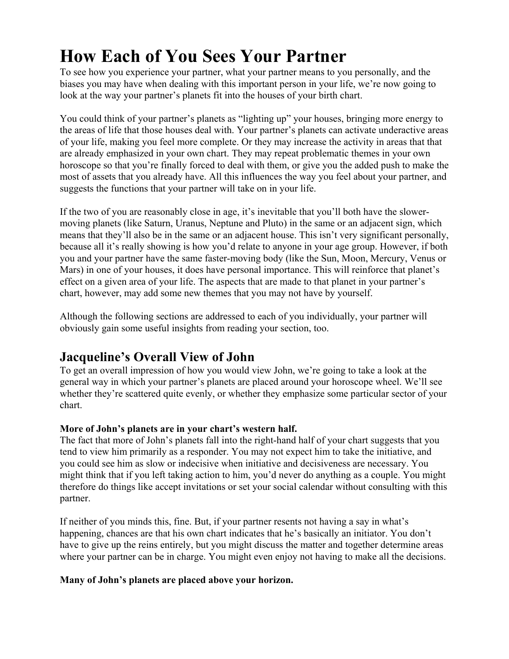To see how you experience your partner, what your partner means to you personally, and the biases you may have when dealing with this important person in your life, we're now going to look at the way your partner's planets fit into the houses of your birth chart.

You could think of your partner's planets as "lighting up" your houses, bringing more energy to the areas of life that those houses deal with. Your partner's planets can activate underactive areas of your life, making you feel more complete. Or they may increase the activity in areas that that are already emphasized in your own chart. They may repeat problematic themes in your own horoscope so that you're finally forced to deal with them, or give you the added push to make the most of assets that you already have. All this influences the way you feel about your partner, and suggests the functions that your partner will take on in your life.

If the two of you are reasonably close in age, it's inevitable that you'll both have the slowermoving planets (like Saturn, Uranus, Neptune and Pluto) in the same or an adjacent sign, which means that they'll also be in the same or an adjacent house. This isn't very significant personally, because all it's really showing is how you'd relate to anyone in your age group. However, if both you and your partner have the same faster-moving body (like the Sun, Moon, Mercury, Venus or Mars) in one of your houses, it does have personal importance. This will reinforce that planet's effect on a given area of your life. The aspects that are made to that planet in your partner's chart, however, may add some new themes that you may not have by yourself.

Although the following sections are addressed to each of you individually, your partner will obviously gain some useful insights from reading your section, too.

# **Jacqueline's Overall View of John**

To get an overall impression of how you would view John, we're going to take a look at the general way in which your partner's planets are placed around your horoscope wheel. We'll see whether they're scattered quite evenly, or whether they emphasize some particular sector of your chart.

# **More of John's planets are in your chart's western half.**

The fact that more of John's planets fall into the right-hand half of your chart suggests that you tend to view him primarily as a responder. You may not expect him to take the initiative, and you could see him as slow or indecisive when initiative and decisiveness are necessary. You might think that if you left taking action to him, you'd never do anything as a couple. You might therefore do things like accept invitations or set your social calendar without consulting with this partner.

If neither of you minds this, fine. But, if your partner resents not having a say in what's happening, chances are that his own chart indicates that he's basically an initiator. You don't have to give up the reins entirely, but you might discuss the matter and together determine areas where your partner can be in charge. You might even enjoy not having to make all the decisions.

# **Many of John's planets are placed above your horizon.**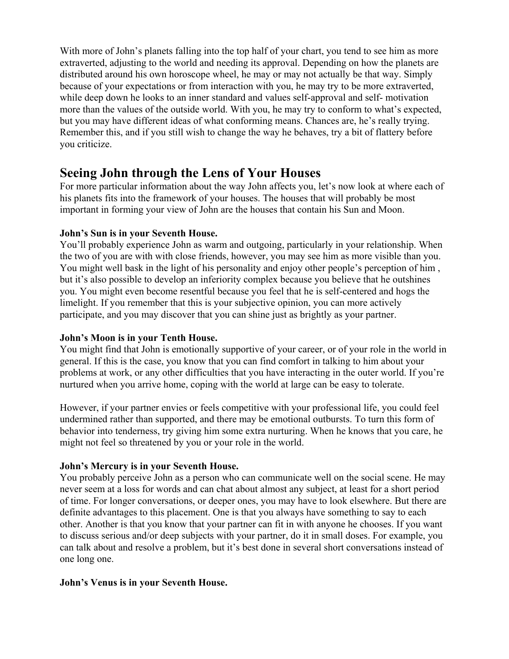With more of John's planets falling into the top half of your chart, you tend to see him as more extraverted, adjusting to the world and needing its approval. Depending on how the planets are distributed around his own horoscope wheel, he may or may not actually be that way. Simply because of your expectations or from interaction with you, he may try to be more extraverted, while deep down he looks to an inner standard and values self-approval and self- motivation more than the values of the outside world. With you, he may try to conform to what's expected, but you may have different ideas of what conforming means. Chances are, he's really trying. Remember this, and if you still wish to change the way he behaves, try a bit of flattery before you criticize.

# **Seeing John through the Lens of Your Houses**

For more particular information about the way John affects you, let's now look at where each of his planets fits into the framework of your houses. The houses that will probably be most important in forming your view of John are the houses that contain his Sun and Moon.

# **John's Sun is in your Seventh House.**

You'll probably experience John as warm and outgoing, particularly in your relationship. When the two of you are with with close friends, however, you may see him as more visible than you. You might well bask in the light of his personality and enjoy other people's perception of him , but it's also possible to develop an inferiority complex because you believe that he outshines you. You might even become resentful because you feel that he is self-centered and hogs the limelight. If you remember that this is your subjective opinion, you can more actively participate, and you may discover that you can shine just as brightly as your partner.

# **John's Moon is in your Tenth House.**

You might find that John is emotionally supportive of your career, or of your role in the world in general. If this is the case, you know that you can find comfort in talking to him about your problems at work, or any other difficulties that you have interacting in the outer world. If you're nurtured when you arrive home, coping with the world at large can be easy to tolerate.

However, if your partner envies or feels competitive with your professional life, you could feel undermined rather than supported, and there may be emotional outbursts. To turn this form of behavior into tenderness, try giving him some extra nurturing. When he knows that you care, he might not feel so threatened by you or your role in the world.

# **John's Mercury is in your Seventh House.**

You probably perceive John as a person who can communicate well on the social scene. He may never seem at a loss for words and can chat about almost any subject, at least for a short period of time. For longer conversations, or deeper ones, you may have to look elsewhere. But there are definite advantages to this placement. One is that you always have something to say to each other. Another is that you know that your partner can fit in with anyone he chooses. If you want to discuss serious and/or deep subjects with your partner, do it in small doses. For example, you can talk about and resolve a problem, but it's best done in several short conversations instead of one long one.

# **John's Venus is in your Seventh House.**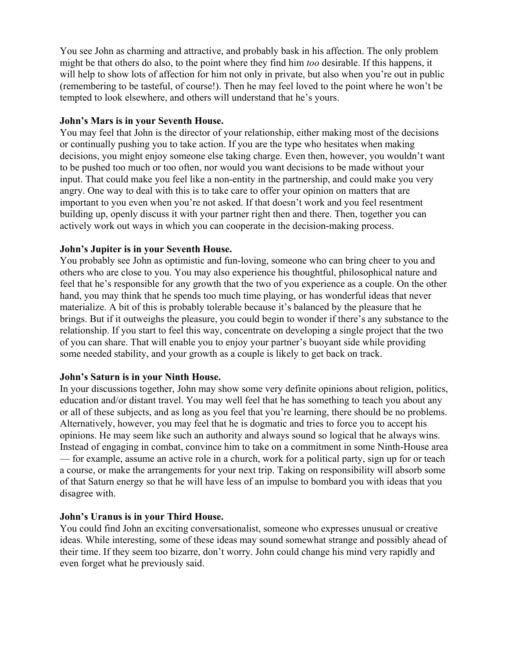You see John as charming and attractive, and probably bask in his affection. The only problem might be that others do also, to the point where they find him *too* desirable. If this happens, it will help to show lots of affection for him not only in private, but also when you're out in public (remembering to be tasteful, of course!). Then he may feel loved to the point where he won't be tempted to look elsewhere, and others will understand that he's yours.

# **John's Mars is in your Seventh House.**

You may feel that John is the director of your relationship, either making most of the decisions or continually pushing you to take action. If you are the type who hesitates when making decisions, you might enjoy someone else taking charge. Even then, however, you wouldn't want to be pushed too much or too often, nor would you want decisions to be made without your input. That could make you feel like a non-entity in the partnership, and could make you very angry. One way to deal with this is to take care to offer your opinion on matters that are important to you even when you're not asked. If that doesn't work and you feel resentment building up, openly discuss it with your partner right then and there. Then, together you can actively work out ways in which you can cooperate in the decision-making process.

# **John's Jupiter is in your Seventh House.**

You probably see John as optimistic and fun-loving, someone who can bring cheer to you and others who are close to you. You may also experience his thoughtful, philosophical nature and feel that he's responsible for any growth that the two of you experience as a couple. On the other hand, you may think that he spends too much time playing, or has wonderful ideas that never materialize. A bit of this is probably tolerable because it's balanced by the pleasure that he brings. But if it outweighs the pleasure, you could begin to wonder if there's any substance to the relationship. If you start to feel this way, concentrate on developing a single project that the two of you can share. That will enable you to enjoy your partner's buoyant side while providing some needed stability, and your growth as a couple is likely to get back on track.

# **John's Saturn is in your Ninth House.**

In your discussions together, John may show some very definite opinions about religion, politics, education and/or distant travel. You may well feel that he has something to teach you about any or all of these subjects, and as long as you feel that you're learning, there should be no problems. Alternatively, however, you may feel that he is dogmatic and tries to force you to accept his opinions. He may seem like such an authority and always sound so logical that he always wins. Instead of engaging in combat, convince him to take on a commitment in some Ninth-House area — for example, assume an active role in a church, work for a political party, sign up for or teach a course, or make the arrangements for your next trip. Taking on responsibility will absorb some of that Saturn energy so that he will have less of an impulse to bombard you with ideas that you disagree with.

# **John's Uranus is in your Third House.**

You could find John an exciting conversationalist, someone who expresses unusual or creative ideas. While interesting, some of these ideas may sound somewhat strange and possibly ahead of their time. If they seem too bizarre, don't worry. John could change his mind very rapidly and even forget what he previously said.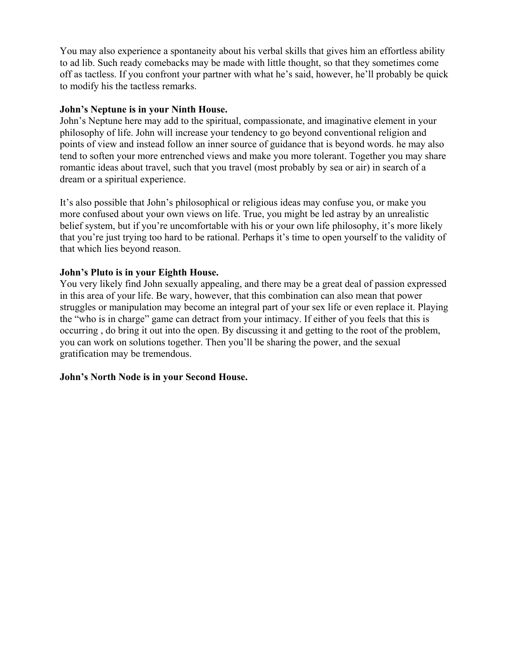You may also experience a spontaneity about his verbal skills that gives him an effortless ability to ad lib. Such ready comebacks may be made with little thought, so that they sometimes come off as tactless. If you confront your partner with what he's said, however, he'll probably be quick to modify his the tactless remarks.

# **John's Neptune is in your Ninth House.**

John's Neptune here may add to the spiritual, compassionate, and imaginative element in your philosophy of life. John will increase your tendency to go beyond conventional religion and points of view and instead follow an inner source of guidance that is beyond words. he may also tend to soften your more entrenched views and make you more tolerant. Together you may share romantic ideas about travel, such that you travel (most probably by sea or air) in search of a dream or a spiritual experience.

It's also possible that John's philosophical or religious ideas may confuse you, or make you more confused about your own views on life. True, you might be led astray by an unrealistic belief system, but if you're uncomfortable with his or your own life philosophy, it's more likely that you're just trying too hard to be rational. Perhaps it's time to open yourself to the validity of that which lies beyond reason.

# **John's Pluto is in your Eighth House.**

You very likely find John sexually appealing, and there may be a great deal of passion expressed in this area of your life. Be wary, however, that this combination can also mean that power struggles or manipulation may become an integral part of your sex life or even replace it. Playing the "who is in charge" game can detract from your intimacy. If either of you feels that this is occurring , do bring it out into the open. By discussing it and getting to the root of the problem, you can work on solutions together. Then you'll be sharing the power, and the sexual gratification may be tremendous.

# **John's North Node is in your Second House.**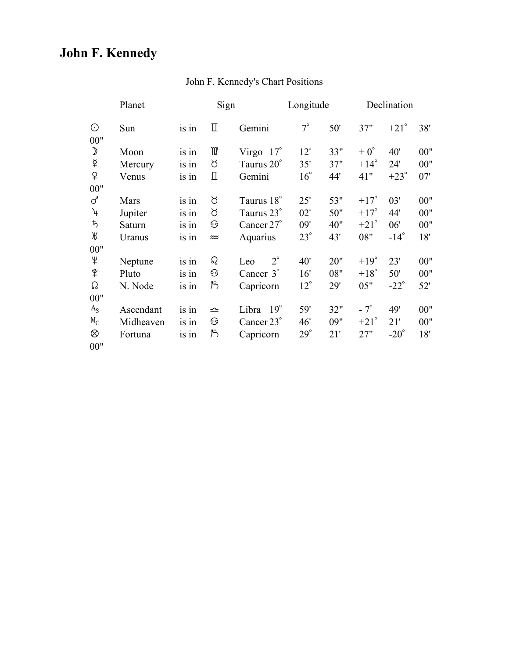# **John F. Kennedy**

|                  | Planet      | Sign    |          |                     | Longitude    |     | Declination   |               |     |
|------------------|-------------|---------|----------|---------------------|--------------|-----|---------------|---------------|-----|
| $\odot$<br>$00"$ | Sun         | is in   | П        | Gemini              | $7^\circ$    | 50' | 37"           | $+21^{\circ}$ | 38' |
| $\mathcal{D}$    | Moon        | $is$ in | ₩        | Virgo $17^\circ$    | 12'          | 33" | $+0^{\circ}$  | 40'           | 00" |
| $\,\varphi$      | Mercury     | is in   | ୪        | Taurus 20°          | 35'          | 37" | $+14^\circ$   | 24'           | 00" |
| ¥                | Venus       | is in   | П        | Gemini              | $16^{\circ}$ | 44' | 41"           | $+23^\circ$   | 07' |
| 00"              |             |         |          |                     |              |     |               |               |     |
| ♂                | <b>Mars</b> | is in   | ୪        | Taurus 18°          | 25'          | 53" | $+17^\circ$   | 03'           | 00" |
| $\mathcal{A}$    | Jupiter     | is in   | ୪        | Taurus 23°          | 02'          | 50" | $+17^\circ$   | 44'           | 00" |
| ち                | Saturn      | is in   | ⊙        | Cancer $27^\circ$   | 09'          | 40" | $+21^{\circ}$ | 06'           | 00" |
| Ж                | Uranus      | is in   | ⋙        | Aquarius            | $23^\circ$   | 43' | 08"           | $-14^\circ$   | 18' |
| 00"              |             |         |          |                     |              |     |               |               |     |
| Ψ                | Neptune     | is in   | $\Omega$ | $2^{\circ}$<br>Leo  | 40'          | 20" | $+19^\circ$   | 23'           | 00" |
| $\hat{P}$        | Pluto       | is in   | ⊙        | Cancer $3^\circ$    | 16'          | 08" | $+18^\circ$   | 50'           | 00" |
| Ω                | N. Node     | is in   | ٣        | Capricorn           | $12^{\circ}$ | 29' | 05"           | $-22^\circ$   | 52' |
| 00"              |             |         |          |                     |              |     |               |               |     |
| $A_{S}$          | Ascendant   | is in   | 스        | $19^\circ$<br>Libra | 59'          | 32" | $-7^\circ$    | 49'           | 00" |
| $M_C$            | Midheaven   | is in   | ⊙        | Cancer 23°          | 46'          | 09" | $+21^{\circ}$ | 21'           | 00" |
| ⊗                | Fortuna     | is in   | ٣        | Capricorn           | $29^\circ$   | 21' | 27"           | $-20^\circ$   | 18' |
| 00"              |             |         |          |                     |              |     |               |               |     |

# John F. Kennedy's Chart Positions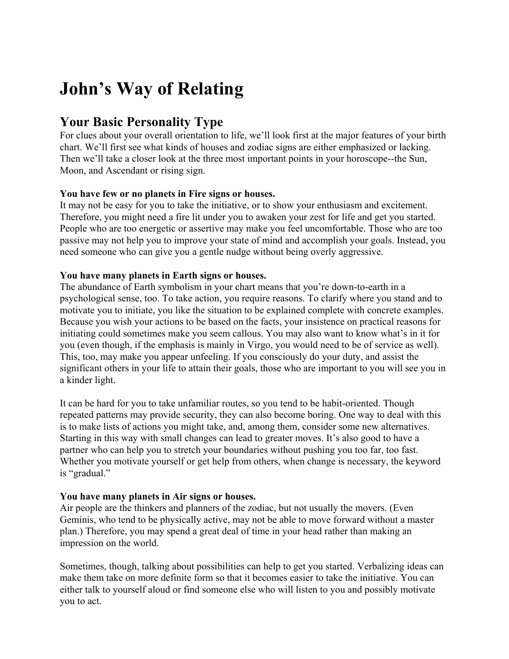# **John's Way of Relating**

# **Your Basic Personality Type**

For clues about your overall orientation to life, we'll look first at the major features of your birth chart. We'll first see what kinds of houses and zodiac signs are either emphasized or lacking. Then we'll take a closer look at the three most important points in your horoscope--the Sun, Moon, and Ascendant or rising sign.

# **You have few or no planets in Fire signs or houses.**

It may not be easy for you to take the initiative, or to show your enthusiasm and excitement. Therefore, you might need a fire lit under you to awaken your zest for life and get you started. People who are too energetic or assertive may make you feel uncomfortable. Those who are too passive may not help you to improve your state of mind and accomplish your goals. Instead, you need someone who can give you a gentle nudge without being overly aggressive.

# **You have many planets in Earth signs or houses.**

The abundance of Earth symbolism in your chart means that you're down-to-earth in a psychological sense, too. To take action, you require reasons. To clarify where you stand and to motivate you to initiate, you like the situation to be explained complete with concrete examples. Because you wish your actions to be based on the facts, your insistence on practical reasons for initiating could sometimes make you seem callous. You may also want to know what's in it for you (even though, if the emphasis is mainly in Virgo, you would need to be of service as well). This, too, may make you appear unfeeling. If you consciously do your duty, and assist the significant others in your life to attain their goals, those who are important to you will see you in a kinder light.

It can be hard for you to take unfamiliar routes, so you tend to be habit-oriented. Though repeated patterns may provide security, they can also become boring. One way to deal with this is to make lists of actions you might take, and, among them, consider some new alternatives. Starting in this way with small changes can lead to greater moves. It's also good to have a partner who can help you to stretch your boundaries without pushing you too far, too fast. Whether you motivate yourself or get help from others, when change is necessary, the keyword is "gradual."

# **You have many planets in Air signs or houses.**

Air people are the thinkers and planners of the zodiac, but not usually the movers. (Even Geminis, who tend to be physically active, may not be able to move forward without a master plan.) Therefore, you may spend a great deal of time in your head rather than making an impression on the world.

Sometimes, though, talking about possibilities can help to get you started. Verbalizing ideas can make them take on more definite form so that it becomes easier to take the initiative. You can either talk to yourself aloud or find someone else who will listen to you and possibly motivate you to act.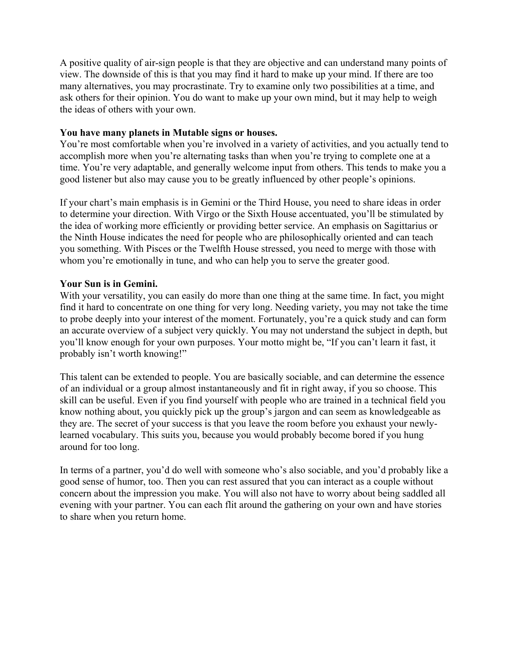A positive quality of air-sign people is that they are objective and can understand many points of view. The downside of this is that you may find it hard to make up your mind. If there are too many alternatives, you may procrastinate. Try to examine only two possibilities at a time, and ask others for their opinion. You do want to make up your own mind, but it may help to weigh the ideas of others with your own.

# **You have many planets in Mutable signs or houses.**

You're most comfortable when you're involved in a variety of activities, and you actually tend to accomplish more when you're alternating tasks than when you're trying to complete one at a time. You're very adaptable, and generally welcome input from others. This tends to make you a good listener but also may cause you to be greatly influenced by other people's opinions.

If your chart's main emphasis is in Gemini or the Third House, you need to share ideas in order to determine your direction. With Virgo or the Sixth House accentuated, you'll be stimulated by the idea of working more efficiently or providing better service. An emphasis on Sagittarius or the Ninth House indicates the need for people who are philosophically oriented and can teach you something. With Pisces or the Twelfth House stressed, you need to merge with those with whom you're emotionally in tune, and who can help you to serve the greater good.

# **Your Sun is in Gemini.**

With your versatility, you can easily do more than one thing at the same time. In fact, you might find it hard to concentrate on one thing for very long. Needing variety, you may not take the time to probe deeply into your interest of the moment. Fortunately, you're a quick study and can form an accurate overview of a subject very quickly. You may not understand the subject in depth, but you'll know enough for your own purposes. Your motto might be, "If you can't learn it fast, it probably isn't worth knowing!"

This talent can be extended to people. You are basically sociable, and can determine the essence of an individual or a group almost instantaneously and fit in right away, if you so choose. This skill can be useful. Even if you find yourself with people who are trained in a technical field you know nothing about, you quickly pick up the group's jargon and can seem as knowledgeable as they are. The secret of your success is that you leave the room before you exhaust your newlylearned vocabulary. This suits you, because you would probably become bored if you hung around for too long.

In terms of a partner, you'd do well with someone who's also sociable, and you'd probably like a good sense of humor, too. Then you can rest assured that you can interact as a couple without concern about the impression you make. You will also not have to worry about being saddled all evening with your partner. You can each flit around the gathering on your own and have stories to share when you return home.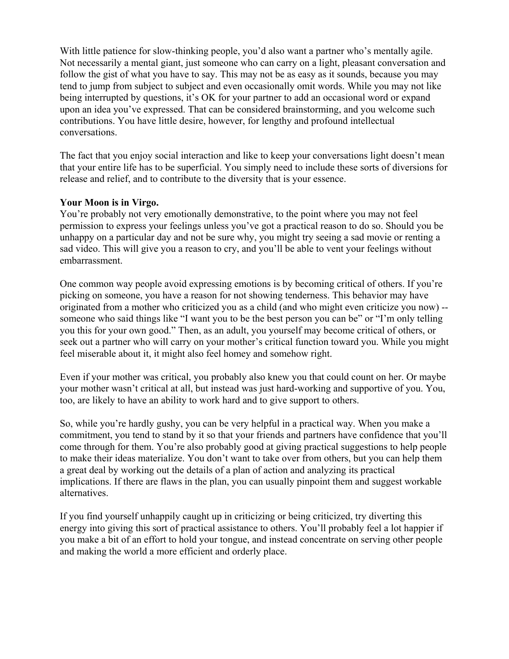With little patience for slow-thinking people, you'd also want a partner who's mentally agile. Not necessarily a mental giant, just someone who can carry on a light, pleasant conversation and follow the gist of what you have to say. This may not be as easy as it sounds, because you may tend to jump from subject to subject and even occasionally omit words. While you may not like being interrupted by questions, it's OK for your partner to add an occasional word or expand upon an idea you've expressed. That can be considered brainstorming, and you welcome such contributions. You have little desire, however, for lengthy and profound intellectual conversations.

The fact that you enjoy social interaction and like to keep your conversations light doesn't mean that your entire life has to be superficial. You simply need to include these sorts of diversions for release and relief, and to contribute to the diversity that is your essence.

# **Your Moon is in Virgo.**

You're probably not very emotionally demonstrative, to the point where you may not feel permission to express your feelings unless you've got a practical reason to do so. Should you be unhappy on a particular day and not be sure why, you might try seeing a sad movie or renting a sad video. This will give you a reason to cry, and you'll be able to vent your feelings without embarrassment.

One common way people avoid expressing emotions is by becoming critical of others. If you're picking on someone, you have a reason for not showing tenderness. This behavior may have originated from a mother who criticized you as a child (and who might even criticize you now) - someone who said things like "I want you to be the best person you can be" or "I'm only telling you this for your own good." Then, as an adult, you yourself may become critical of others, or seek out a partner who will carry on your mother's critical function toward you. While you might feel miserable about it, it might also feel homey and somehow right.

Even if your mother was critical, you probably also knew you that could count on her. Or maybe your mother wasn't critical at all, but instead was just hard-working and supportive of you. You, too, are likely to have an ability to work hard and to give support to others.

So, while you're hardly gushy, you can be very helpful in a practical way. When you make a commitment, you tend to stand by it so that your friends and partners have confidence that you'll come through for them. You're also probably good at giving practical suggestions to help people to make their ideas materialize. You don't want to take over from others, but you can help them a great deal by working out the details of a plan of action and analyzing its practical implications. If there are flaws in the plan, you can usually pinpoint them and suggest workable alternatives.

If you find yourself unhappily caught up in criticizing or being criticized, try diverting this energy into giving this sort of practical assistance to others. You'll probably feel a lot happier if you make a bit of an effort to hold your tongue, and instead concentrate on serving other people and making the world a more efficient and orderly place.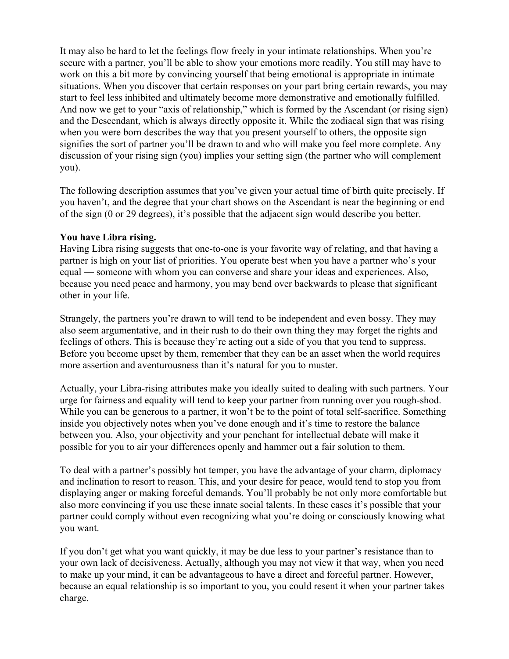It may also be hard to let the feelings flow freely in your intimate relationships. When you're secure with a partner, you'll be able to show your emotions more readily. You still may have to work on this a bit more by convincing yourself that being emotional is appropriate in intimate situations. When you discover that certain responses on your part bring certain rewards, you may start to feel less inhibited and ultimately become more demonstrative and emotionally fulfilled. And now we get to your "axis of relationship," which is formed by the Ascendant (or rising sign) and the Descendant, which is always directly opposite it. While the zodiacal sign that was rising when you were born describes the way that you present yourself to others, the opposite sign signifies the sort of partner you'll be drawn to and who will make you feel more complete. Any discussion of your rising sign (you) implies your setting sign (the partner who will complement you).

The following description assumes that you've given your actual time of birth quite precisely. If you haven't, and the degree that your chart shows on the Ascendant is near the beginning or end of the sign (0 or 29 degrees), it's possible that the adjacent sign would describe you better.

# **You have Libra rising.**

Having Libra rising suggests that one-to-one is your favorite way of relating, and that having a partner is high on your list of priorities. You operate best when you have a partner who's your equal — someone with whom you can converse and share your ideas and experiences. Also, because you need peace and harmony, you may bend over backwards to please that significant other in your life.

Strangely, the partners you're drawn to will tend to be independent and even bossy. They may also seem argumentative, and in their rush to do their own thing they may forget the rights and feelings of others. This is because they're acting out a side of you that you tend to suppress. Before you become upset by them, remember that they can be an asset when the world requires more assertion and aventurousness than it's natural for you to muster.

Actually, your Libra-rising attributes make you ideally suited to dealing with such partners. Your urge for fairness and equality will tend to keep your partner from running over you rough-shod. While you can be generous to a partner, it won't be to the point of total self-sacrifice. Something inside you objectively notes when you've done enough and it's time to restore the balance between you. Also, your objectivity and your penchant for intellectual debate will make it possible for you to air your differences openly and hammer out a fair solution to them.

To deal with a partner's possibly hot temper, you have the advantage of your charm, diplomacy and inclination to resort to reason. This, and your desire for peace, would tend to stop you from displaying anger or making forceful demands. You'll probably be not only more comfortable but also more convincing if you use these innate social talents. In these cases it's possible that your partner could comply without even recognizing what you're doing or consciously knowing what you want.

If you don't get what you want quickly, it may be due less to your partner's resistance than to your own lack of decisiveness. Actually, although you may not view it that way, when you need to make up your mind, it can be advantageous to have a direct and forceful partner. However, because an equal relationship is so important to you, you could resent it when your partner takes charge.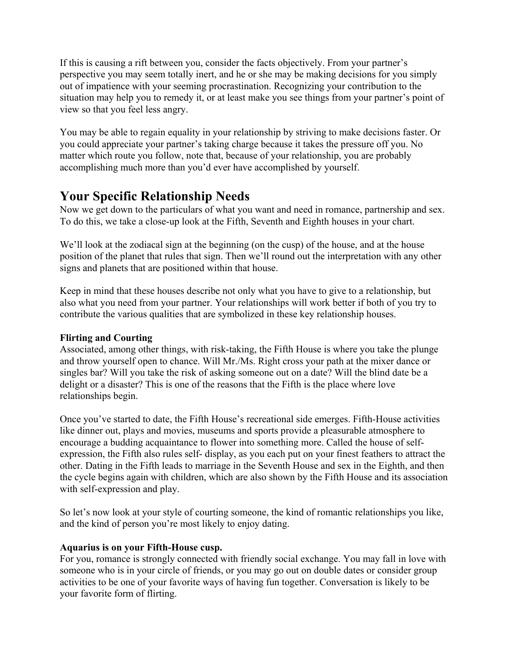If this is causing a rift between you, consider the facts objectively. From your partner's perspective you may seem totally inert, and he or she may be making decisions for you simply out of impatience with your seeming procrastination. Recognizing your contribution to the situation may help you to remedy it, or at least make you see things from your partner's point of view so that you feel less angry.

You may be able to regain equality in your relationship by striving to make decisions faster. Or you could appreciate your partner's taking charge because it takes the pressure off you. No matter which route you follow, note that, because of your relationship, you are probably accomplishing much more than you'd ever have accomplished by yourself.

# **Your Specific Relationship Needs**

Now we get down to the particulars of what you want and need in romance, partnership and sex. To do this, we take a close-up look at the Fifth, Seventh and Eighth houses in your chart.

We'll look at the zodiacal sign at the beginning (on the cusp) of the house, and at the house position of the planet that rules that sign. Then we'll round out the interpretation with any other signs and planets that are positioned within that house.

Keep in mind that these houses describe not only what you have to give to a relationship, but also what you need from your partner. Your relationships will work better if both of you try to contribute the various qualities that are symbolized in these key relationship houses.

# **Flirting and Courting**

Associated, among other things, with risk-taking, the Fifth House is where you take the plunge and throw yourself open to chance. Will Mr./Ms. Right cross your path at the mixer dance or singles bar? Will you take the risk of asking someone out on a date? Will the blind date be a delight or a disaster? This is one of the reasons that the Fifth is the place where love relationships begin.

Once you've started to date, the Fifth House's recreational side emerges. Fifth-House activities like dinner out, plays and movies, museums and sports provide a pleasurable atmosphere to encourage a budding acquaintance to flower into something more. Called the house of selfexpression, the Fifth also rules self- display, as you each put on your finest feathers to attract the other. Dating in the Fifth leads to marriage in the Seventh House and sex in the Eighth, and then the cycle begins again with children, which are also shown by the Fifth House and its association with self-expression and play.

So let's now look at your style of courting someone, the kind of romantic relationships you like, and the kind of person you're most likely to enjoy dating.

# **Aquarius is on your Fifth-House cusp.**

For you, romance is strongly connected with friendly social exchange. You may fall in love with someone who is in your circle of friends, or you may go out on double dates or consider group activities to be one of your favorite ways of having fun together. Conversation is likely to be your favorite form of flirting.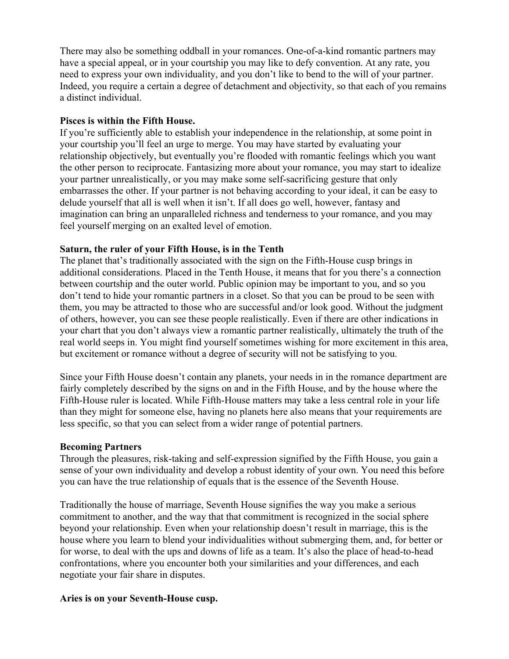There may also be something oddball in your romances. One-of-a-kind romantic partners may have a special appeal, or in your courtship you may like to defy convention. At any rate, you need to express your own individuality, and you don't like to bend to the will of your partner. Indeed, you require a certain a degree of detachment and objectivity, so that each of you remains a distinct individual.

#### **Pisces is within the Fifth House.**

If you're sufficiently able to establish your independence in the relationship, at some point in your courtship you'll feel an urge to merge. You may have started by evaluating your relationship objectively, but eventually you're flooded with romantic feelings which you want the other person to reciprocate. Fantasizing more about your romance, you may start to idealize your partner unrealistically, or you may make some self-sacrificing gesture that only embarrasses the other. If your partner is not behaving according to your ideal, it can be easy to delude yourself that all is well when it isn't. If all does go well, however, fantasy and imagination can bring an unparalleled richness and tenderness to your romance, and you may feel yourself merging on an exalted level of emotion.

#### **Saturn, the ruler of your Fifth House, is in the Tenth**

The planet that's traditionally associated with the sign on the Fifth-House cusp brings in additional considerations. Placed in the Tenth House, it means that for you there's a connection between courtship and the outer world. Public opinion may be important to you, and so you don't tend to hide your romantic partners in a closet. So that you can be proud to be seen with them, you may be attracted to those who are successful and/or look good. Without the judgment of others, however, you can see these people realistically. Even if there are other indications in your chart that you don't always view a romantic partner realistically, ultimately the truth of the real world seeps in. You might find yourself sometimes wishing for more excitement in this area, but excitement or romance without a degree of security will not be satisfying to you.

Since your Fifth House doesn't contain any planets, your needs in in the romance department are fairly completely described by the signs on and in the Fifth House, and by the house where the Fifth-House ruler is located. While Fifth-House matters may take a less central role in your life than they might for someone else, having no planets here also means that your requirements are less specific, so that you can select from a wider range of potential partners.

#### **Becoming Partners**

Through the pleasures, risk-taking and self-expression signified by the Fifth House, you gain a sense of your own individuality and develop a robust identity of your own. You need this before you can have the true relationship of equals that is the essence of the Seventh House.

Traditionally the house of marriage, Seventh House signifies the way you make a serious commitment to another, and the way that that commitment is recognized in the social sphere beyond your relationship. Even when your relationship doesn't result in marriage, this is the house where you learn to blend your individualities without submerging them, and, for better or for worse, to deal with the ups and downs of life as a team. It's also the place of head-to-head confrontations, where you encounter both your similarities and your differences, and each negotiate your fair share in disputes.

#### **Aries is on your Seventh-House cusp.**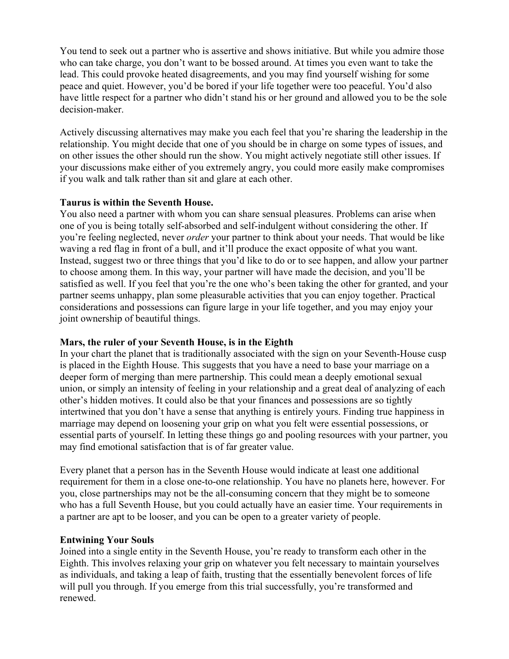You tend to seek out a partner who is assertive and shows initiative. But while you admire those who can take charge, you don't want to be bossed around. At times you even want to take the lead. This could provoke heated disagreements, and you may find yourself wishing for some peace and quiet. However, you'd be bored if your life together were too peaceful. You'd also have little respect for a partner who didn't stand his or her ground and allowed you to be the sole decision-maker.

Actively discussing alternatives may make you each feel that you're sharing the leadership in the relationship. You might decide that one of you should be in charge on some types of issues, and on other issues the other should run the show. You might actively negotiate still other issues. If your discussions make either of you extremely angry, you could more easily make compromises if you walk and talk rather than sit and glare at each other.

# **Taurus is within the Seventh House.**

You also need a partner with whom you can share sensual pleasures. Problems can arise when one of you is being totally self-absorbed and self-indulgent without considering the other. If you're feeling neglected, never *order* your partner to think about your needs. That would be like waving a red flag in front of a bull, and it'll produce the exact opposite of what you want. Instead, suggest two or three things that you'd like to do or to see happen, and allow your partner to choose among them. In this way, your partner will have made the decision, and you'll be satisfied as well. If you feel that you're the one who's been taking the other for granted, and your partner seems unhappy, plan some pleasurable activities that you can enjoy together. Practical considerations and possessions can figure large in your life together, and you may enjoy your joint ownership of beautiful things.

# **Mars, the ruler of your Seventh House, is in the Eighth**

In your chart the planet that is traditionally associated with the sign on your Seventh-House cusp is placed in the Eighth House. This suggests that you have a need to base your marriage on a deeper form of merging than mere partnership. This could mean a deeply emotional sexual union, or simply an intensity of feeling in your relationship and a great deal of analyzing of each other's hidden motives. It could also be that your finances and possessions are so tightly intertwined that you don't have a sense that anything is entirely yours. Finding true happiness in marriage may depend on loosening your grip on what you felt were essential possessions, or essential parts of yourself. In letting these things go and pooling resources with your partner, you may find emotional satisfaction that is of far greater value.

Every planet that a person has in the Seventh House would indicate at least one additional requirement for them in a close one-to-one relationship. You have no planets here, however. For you, close partnerships may not be the all-consuming concern that they might be to someone who has a full Seventh House, but you could actually have an easier time. Your requirements in a partner are apt to be looser, and you can be open to a greater variety of people.

# **Entwining Your Souls**

Joined into a single entity in the Seventh House, you're ready to transform each other in the Eighth. This involves relaxing your grip on whatever you felt necessary to maintain yourselves as individuals, and taking a leap of faith, trusting that the essentially benevolent forces of life will pull you through. If you emerge from this trial successfully, you're transformed and renewed.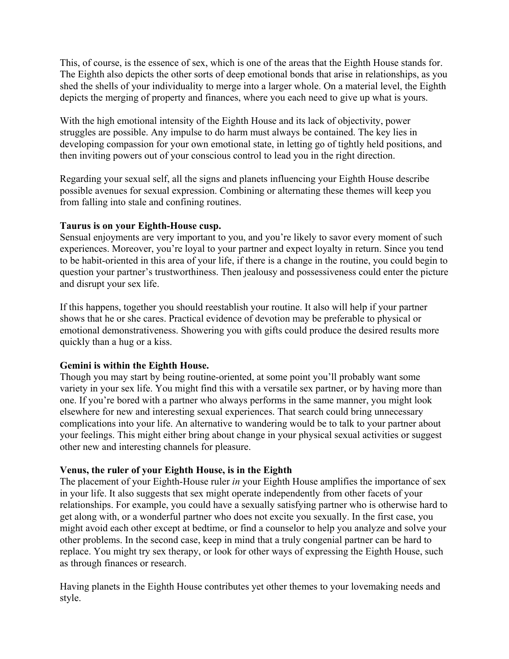This, of course, is the essence of sex, which is one of the areas that the Eighth House stands for. The Eighth also depicts the other sorts of deep emotional bonds that arise in relationships, as you shed the shells of your individuality to merge into a larger whole. On a material level, the Eighth depicts the merging of property and finances, where you each need to give up what is yours.

With the high emotional intensity of the Eighth House and its lack of objectivity, power struggles are possible. Any impulse to do harm must always be contained. The key lies in developing compassion for your own emotional state, in letting go of tightly held positions, and then inviting powers out of your conscious control to lead you in the right direction.

Regarding your sexual self, all the signs and planets influencing your Eighth House describe possible avenues for sexual expression. Combining or alternating these themes will keep you from falling into stale and confining routines.

# **Taurus is on your Eighth-House cusp.**

Sensual enjoyments are very important to you, and you're likely to savor every moment of such experiences. Moreover, you're loyal to your partner and expect loyalty in return. Since you tend to be habit-oriented in this area of your life, if there is a change in the routine, you could begin to question your partner's trustworthiness. Then jealousy and possessiveness could enter the picture and disrupt your sex life.

If this happens, together you should reestablish your routine. It also will help if your partner shows that he or she cares. Practical evidence of devotion may be preferable to physical or emotional demonstrativeness. Showering you with gifts could produce the desired results more quickly than a hug or a kiss.

# **Gemini is within the Eighth House.**

Though you may start by being routine-oriented, at some point you'll probably want some variety in your sex life. You might find this with a versatile sex partner, or by having more than one. If you're bored with a partner who always performs in the same manner, you might look elsewhere for new and interesting sexual experiences. That search could bring unnecessary complications into your life. An alternative to wandering would be to talk to your partner about your feelings. This might either bring about change in your physical sexual activities or suggest other new and interesting channels for pleasure.

# **Venus, the ruler of your Eighth House, is in the Eighth**

The placement of your Eighth-House ruler *in* your Eighth House amplifies the importance of sex in your life. It also suggests that sex might operate independently from other facets of your relationships. For example, you could have a sexually satisfying partner who is otherwise hard to get along with, or a wonderful partner who does not excite you sexually. In the first case, you might avoid each other except at bedtime, or find a counselor to help you analyze and solve your other problems. In the second case, keep in mind that a truly congenial partner can be hard to replace. You might try sex therapy, or look for other ways of expressing the Eighth House, such as through finances or research.

Having planets in the Eighth House contributes yet other themes to your lovemaking needs and style.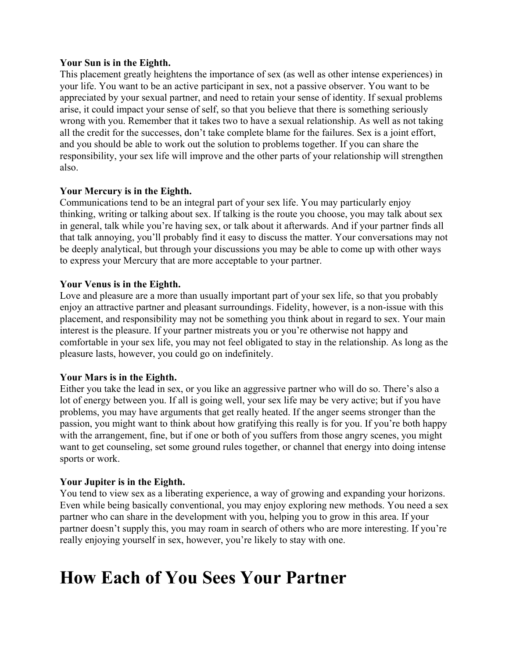# **Your Sun is in the Eighth.**

This placement greatly heightens the importance of sex (as well as other intense experiences) in your life. You want to be an active participant in sex, not a passive observer. You want to be appreciated by your sexual partner, and need to retain your sense of identity. If sexual problems arise, it could impact your sense of self, so that you believe that there is something seriously wrong with you. Remember that it takes two to have a sexual relationship. As well as not taking all the credit for the successes, don't take complete blame for the failures. Sex is a joint effort, and you should be able to work out the solution to problems together. If you can share the responsibility, your sex life will improve and the other parts of your relationship will strengthen also.

# **Your Mercury is in the Eighth.**

Communications tend to be an integral part of your sex life. You may particularly enjoy thinking, writing or talking about sex. If talking is the route you choose, you may talk about sex in general, talk while you're having sex, or talk about it afterwards. And if your partner finds all that talk annoying, you'll probably find it easy to discuss the matter. Your conversations may not be deeply analytical, but through your discussions you may be able to come up with other ways to express your Mercury that are more acceptable to your partner.

# **Your Venus is in the Eighth.**

Love and pleasure are a more than usually important part of your sex life, so that you probably enjoy an attractive partner and pleasant surroundings. Fidelity, however, is a non-issue with this placement, and responsibility may not be something you think about in regard to sex. Your main interest is the pleasure. If your partner mistreats you or you're otherwise not happy and comfortable in your sex life, you may not feel obligated to stay in the relationship. As long as the pleasure lasts, however, you could go on indefinitely.

# **Your Mars is in the Eighth.**

Either you take the lead in sex, or you like an aggressive partner who will do so. There's also a lot of energy between you. If all is going well, your sex life may be very active; but if you have problems, you may have arguments that get really heated. If the anger seems stronger than the passion, you might want to think about how gratifying this really is for you. If you're both happy with the arrangement, fine, but if one or both of you suffers from those angry scenes, you might want to get counseling, set some ground rules together, or channel that energy into doing intense sports or work.

# **Your Jupiter is in the Eighth.**

You tend to view sex as a liberating experience, a way of growing and expanding your horizons. Even while being basically conventional, you may enjoy exploring new methods. You need a sex partner who can share in the development with you, helping you to grow in this area. If your partner doesn't supply this, you may roam in search of others who are more interesting. If you're really enjoying yourself in sex, however, you're likely to stay with one.

# **How Each of You Sees Your Partner**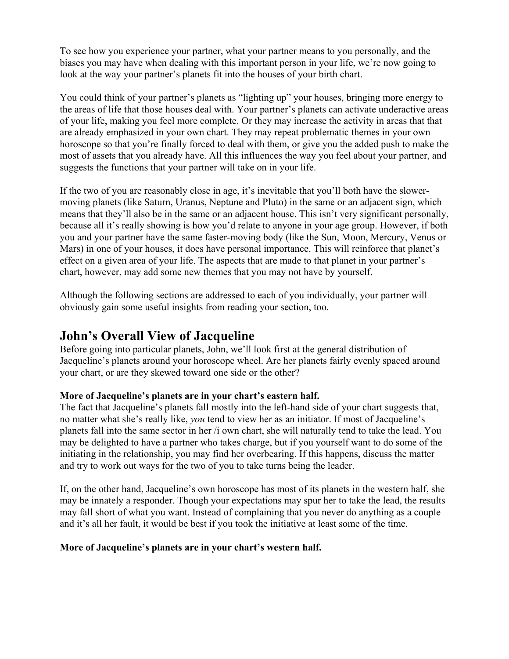To see how you experience your partner, what your partner means to you personally, and the biases you may have when dealing with this important person in your life, we're now going to look at the way your partner's planets fit into the houses of your birth chart.

You could think of your partner's planets as "lighting up" your houses, bringing more energy to the areas of life that those houses deal with. Your partner's planets can activate underactive areas of your life, making you feel more complete. Or they may increase the activity in areas that that are already emphasized in your own chart. They may repeat problematic themes in your own horoscope so that you're finally forced to deal with them, or give you the added push to make the most of assets that you already have. All this influences the way you feel about your partner, and suggests the functions that your partner will take on in your life.

If the two of you are reasonably close in age, it's inevitable that you'll both have the slowermoving planets (like Saturn, Uranus, Neptune and Pluto) in the same or an adjacent sign, which means that they'll also be in the same or an adjacent house. This isn't very significant personally, because all it's really showing is how you'd relate to anyone in your age group. However, if both you and your partner have the same faster-moving body (like the Sun, Moon, Mercury, Venus or Mars) in one of your houses, it does have personal importance. This will reinforce that planet's effect on a given area of your life. The aspects that are made to that planet in your partner's chart, however, may add some new themes that you may not have by yourself.

Although the following sections are addressed to each of you individually, your partner will obviously gain some useful insights from reading your section, too.

# **John's Overall View of Jacqueline**

Before going into particular planets, John, we'll look first at the general distribution of Jacqueline's planets around your horoscope wheel. Are her planets fairly evenly spaced around your chart, or are they skewed toward one side or the other?

# **More of Jacqueline's planets are in your chart's eastern half.**

The fact that Jacqueline's planets fall mostly into the left-hand side of your chart suggests that, no matter what she's really like, *you* tend to view her as an initiator. If most of Jacqueline's planets fall into the same sector in her /i own chart, she will naturally tend to take the lead. You may be delighted to have a partner who takes charge, but if you yourself want to do some of the initiating in the relationship, you may find her overbearing. If this happens, discuss the matter and try to work out ways for the two of you to take turns being the leader.

If, on the other hand, Jacqueline's own horoscope has most of its planets in the western half, she may be innately a responder. Though your expectations may spur her to take the lead, the results may fall short of what you want. Instead of complaining that you never do anything as a couple and it's all her fault, it would be best if you took the initiative at least some of the time.

# **More of Jacqueline's planets are in your chart's western half.**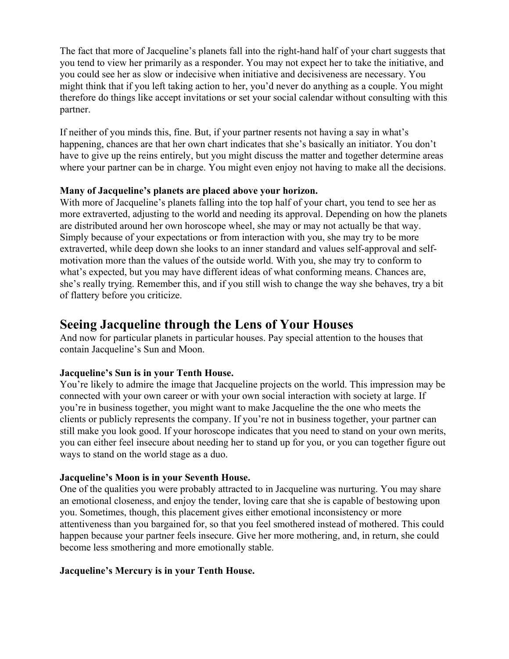The fact that more of Jacqueline's planets fall into the right-hand half of your chart suggests that you tend to view her primarily as a responder. You may not expect her to take the initiative, and you could see her as slow or indecisive when initiative and decisiveness are necessary. You might think that if you left taking action to her, you'd never do anything as a couple. You might therefore do things like accept invitations or set your social calendar without consulting with this partner.

If neither of you minds this, fine. But, if your partner resents not having a say in what's happening, chances are that her own chart indicates that she's basically an initiator. You don't have to give up the reins entirely, but you might discuss the matter and together determine areas where your partner can be in charge. You might even enjoy not having to make all the decisions.

# **Many of Jacqueline's planets are placed above your horizon.**

With more of Jacqueline's planets falling into the top half of your chart, you tend to see her as more extraverted, adjusting to the world and needing its approval. Depending on how the planets are distributed around her own horoscope wheel, she may or may not actually be that way. Simply because of your expectations or from interaction with you, she may try to be more extraverted, while deep down she looks to an inner standard and values self-approval and selfmotivation more than the values of the outside world. With you, she may try to conform to what's expected, but you may have different ideas of what conforming means. Chances are, she's really trying. Remember this, and if you still wish to change the way she behaves, try a bit of flattery before you criticize.

# **Seeing Jacqueline through the Lens of Your Houses**

And now for particular planets in particular houses. Pay special attention to the houses that contain Jacqueline's Sun and Moon.

# **Jacqueline's Sun is in your Tenth House.**

You're likely to admire the image that Jacqueline projects on the world. This impression may be connected with your own career or with your own social interaction with society at large. If you're in business together, you might want to make Jacqueline the the one who meets the clients or publicly represents the company. If you're not in business together, your partner can still make you look good. If your horoscope indicates that you need to stand on your own merits, you can either feel insecure about needing her to stand up for you, or you can together figure out ways to stand on the world stage as a duo.

# **Jacqueline's Moon is in your Seventh House.**

One of the qualities you were probably attracted to in Jacqueline was nurturing. You may share an emotional closeness, and enjoy the tender, loving care that she is capable of bestowing upon you. Sometimes, though, this placement gives either emotional inconsistency or more attentiveness than you bargained for, so that you feel smothered instead of mothered. This could happen because your partner feels insecure. Give her more mothering, and, in return, she could become less smothering and more emotionally stable.

# **Jacqueline's Mercury is in your Tenth House.**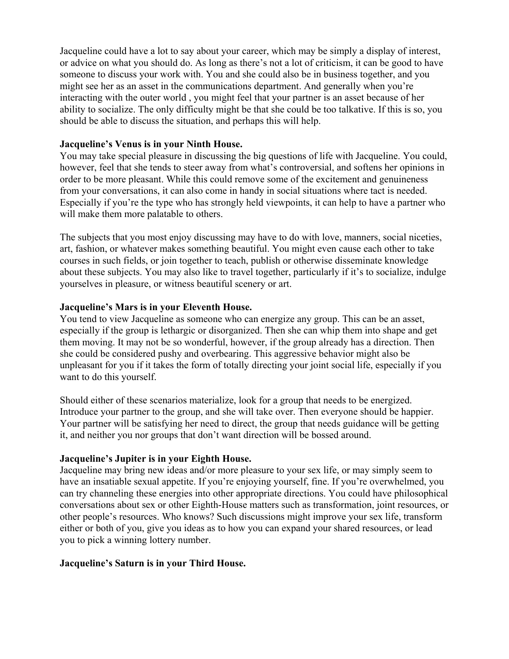Jacqueline could have a lot to say about your career, which may be simply a display of interest, or advice on what you should do. As long as there's not a lot of criticism, it can be good to have someone to discuss your work with. You and she could also be in business together, and you might see her as an asset in the communications department. And generally when you're interacting with the outer world , you might feel that your partner is an asset because of her ability to socialize. The only difficulty might be that she could be too talkative. If this is so, you should be able to discuss the situation, and perhaps this will help.

# **Jacqueline's Venus is in your Ninth House.**

You may take special pleasure in discussing the big questions of life with Jacqueline. You could, however, feel that she tends to steer away from what's controversial, and softens her opinions in order to be more pleasant. While this could remove some of the excitement and genuineness from your conversations, it can also come in handy in social situations where tact is needed. Especially if you're the type who has strongly held viewpoints, it can help to have a partner who will make them more palatable to others.

The subjects that you most enjoy discussing may have to do with love, manners, social niceties, art, fashion, or whatever makes something beautiful. You might even cause each other to take courses in such fields, or join together to teach, publish or otherwise disseminate knowledge about these subjects. You may also like to travel together, particularly if it's to socialize, indulge yourselves in pleasure, or witness beautiful scenery or art.

# **Jacqueline's Mars is in your Eleventh House.**

You tend to view Jacqueline as someone who can energize any group. This can be an asset, especially if the group is lethargic or disorganized. Then she can whip them into shape and get them moving. It may not be so wonderful, however, if the group already has a direction. Then she could be considered pushy and overbearing. This aggressive behavior might also be unpleasant for you if it takes the form of totally directing your joint social life, especially if you want to do this yourself.

Should either of these scenarios materialize, look for a group that needs to be energized. Introduce your partner to the group, and she will take over. Then everyone should be happier. Your partner will be satisfying her need to direct, the group that needs guidance will be getting it, and neither you nor groups that don't want direction will be bossed around.

# **Jacqueline's Jupiter is in your Eighth House.**

Jacqueline may bring new ideas and/or more pleasure to your sex life, or may simply seem to have an insatiable sexual appetite. If you're enjoying yourself, fine. If you're overwhelmed, you can try channeling these energies into other appropriate directions. You could have philosophical conversations about sex or other Eighth-House matters such as transformation, joint resources, or other people's resources. Who knows? Such discussions might improve your sex life, transform either or both of you, give you ideas as to how you can expand your shared resources, or lead you to pick a winning lottery number.

# **Jacqueline's Saturn is in your Third House.**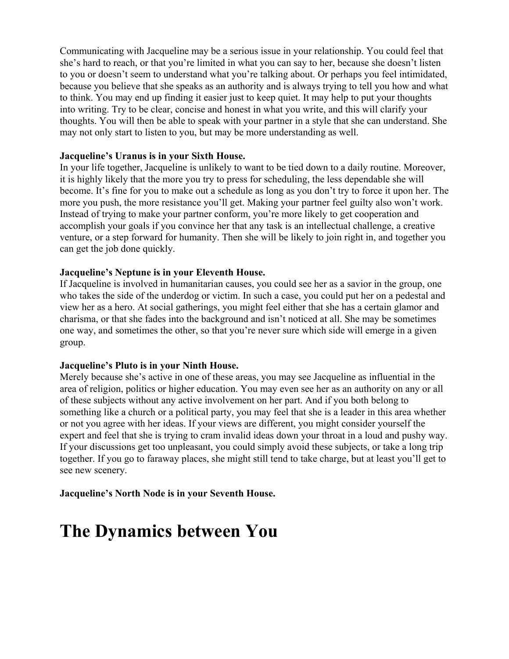Communicating with Jacqueline may be a serious issue in your relationship. You could feel that she's hard to reach, or that you're limited in what you can say to her, because she doesn't listen to you or doesn't seem to understand what you're talking about. Or perhaps you feel intimidated, because you believe that she speaks as an authority and is always trying to tell you how and what to think. You may end up finding it easier just to keep quiet. It may help to put your thoughts into writing. Try to be clear, concise and honest in what you write, and this will clarify your thoughts. You will then be able to speak with your partner in a style that she can understand. She may not only start to listen to you, but may be more understanding as well.

# **Jacqueline's Uranus is in your Sixth House.**

In your life together, Jacqueline is unlikely to want to be tied down to a daily routine. Moreover, it is highly likely that the more you try to press for scheduling, the less dependable she will become. It's fine for you to make out a schedule as long as you don't try to force it upon her. The more you push, the more resistance you'll get. Making your partner feel guilty also won't work. Instead of trying to make your partner conform, you're more likely to get cooperation and accomplish your goals if you convince her that any task is an intellectual challenge, a creative venture, or a step forward for humanity. Then she will be likely to join right in, and together you can get the job done quickly.

# **Jacqueline's Neptune is in your Eleventh House.**

If Jacqueline is involved in humanitarian causes, you could see her as a savior in the group, one who takes the side of the underdog or victim. In such a case, you could put her on a pedestal and view her as a hero. At social gatherings, you might feel either that she has a certain glamor and charisma, or that she fades into the background and isn't noticed at all. She may be sometimes one way, and sometimes the other, so that you're never sure which side will emerge in a given group.

# **Jacqueline's Pluto is in your Ninth House.**

Merely because she's active in one of these areas, you may see Jacqueline as influential in the area of religion, politics or higher education. You may even see her as an authority on any or all of these subjects without any active involvement on her part. And if you both belong to something like a church or a political party, you may feel that she is a leader in this area whether or not you agree with her ideas. If your views are different, you might consider yourself the expert and feel that she is trying to cram invalid ideas down your throat in a loud and pushy way. If your discussions get too unpleasant, you could simply avoid these subjects, or take a long trip together. If you go to faraway places, she might still tend to take charge, but at least you'll get to see new scenery.

**Jacqueline's North Node is in your Seventh House.**

# **The Dynamics between You**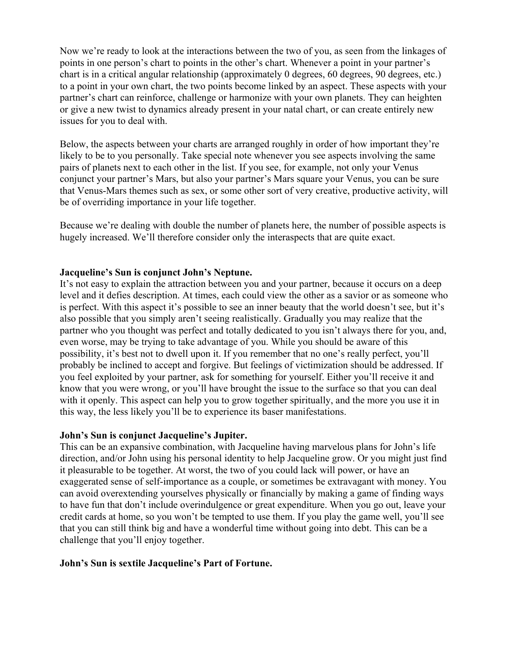Now we're ready to look at the interactions between the two of you, as seen from the linkages of points in one person's chart to points in the other's chart. Whenever a point in your partner's chart is in a critical angular relationship (approximately 0 degrees, 60 degrees, 90 degrees, etc.) to a point in your own chart, the two points become linked by an aspect. These aspects with your partner's chart can reinforce, challenge or harmonize with your own planets. They can heighten or give a new twist to dynamics already present in your natal chart, or can create entirely new issues for you to deal with.

Below, the aspects between your charts are arranged roughly in order of how important they're likely to be to you personally. Take special note whenever you see aspects involving the same pairs of planets next to each other in the list. If you see, for example, not only your Venus conjunct your partner's Mars, but also your partner's Mars square your Venus, you can be sure that Venus-Mars themes such as sex, or some other sort of very creative, productive activity, will be of overriding importance in your life together.

Because we're dealing with double the number of planets here, the number of possible aspects is hugely increased. We'll therefore consider only the interaspects that are quite exact.

# **Jacqueline's Sun is conjunct John's Neptune.**

It's not easy to explain the attraction between you and your partner, because it occurs on a deep level and it defies description. At times, each could view the other as a savior or as someone who is perfect. With this aspect it's possible to see an inner beauty that the world doesn't see, but it's also possible that you simply aren't seeing realistically. Gradually you may realize that the partner who you thought was perfect and totally dedicated to you isn't always there for you, and, even worse, may be trying to take advantage of you. While you should be aware of this possibility, it's best not to dwell upon it. If you remember that no one's really perfect, you'll probably be inclined to accept and forgive. But feelings of victimization should be addressed. If you feel exploited by your partner, ask for something for yourself. Either you'll receive it and know that you were wrong, or you'll have brought the issue to the surface so that you can deal with it openly. This aspect can help you to grow together spiritually, and the more you use it in this way, the less likely you'll be to experience its baser manifestations.

# **John's Sun is conjunct Jacqueline's Jupiter.**

This can be an expansive combination, with Jacqueline having marvelous plans for John's life direction, and/or John using his personal identity to help Jacqueline grow. Or you might just find it pleasurable to be together. At worst, the two of you could lack will power, or have an exaggerated sense of self-importance as a couple, or sometimes be extravagant with money. You can avoid overextending yourselves physically or financially by making a game of finding ways to have fun that don't include overindulgence or great expenditure. When you go out, leave your credit cards at home, so you won't be tempted to use them. If you play the game well, you'll see that you can still think big and have a wonderful time without going into debt. This can be a challenge that you'll enjoy together.

# **John's Sun is sextile Jacqueline's Part of Fortune.**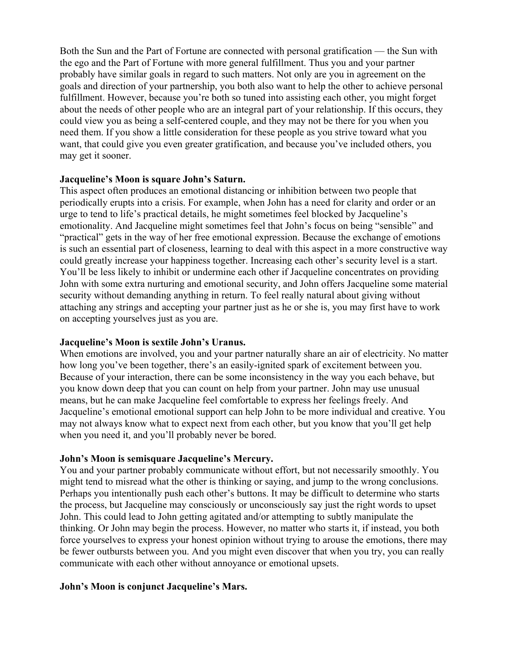Both the Sun and the Part of Fortune are connected with personal gratification — the Sun with the ego and the Part of Fortune with more general fulfillment. Thus you and your partner probably have similar goals in regard to such matters. Not only are you in agreement on the goals and direction of your partnership, you both also want to help the other to achieve personal fulfillment. However, because you're both so tuned into assisting each other, you might forget about the needs of other people who are an integral part of your relationship. If this occurs, they could view you as being a self-centered couple, and they may not be there for you when you need them. If you show a little consideration for these people as you strive toward what you want, that could give you even greater gratification, and because you've included others, you may get it sooner.

# **Jacqueline's Moon is square John's Saturn.**

This aspect often produces an emotional distancing or inhibition between two people that periodically erupts into a crisis. For example, when John has a need for clarity and order or an urge to tend to life's practical details, he might sometimes feel blocked by Jacqueline's emotionality. And Jacqueline might sometimes feel that John's focus on being "sensible" and "practical" gets in the way of her free emotional expression. Because the exchange of emotions is such an essential part of closeness, learning to deal with this aspect in a more constructive way could greatly increase your happiness together. Increasing each other's security level is a start. You'll be less likely to inhibit or undermine each other if Jacqueline concentrates on providing John with some extra nurturing and emotional security, and John offers Jacqueline some material security without demanding anything in return. To feel really natural about giving without attaching any strings and accepting your partner just as he or she is, you may first have to work on accepting yourselves just as you are.

#### **Jacqueline's Moon is sextile John's Uranus.**

When emotions are involved, you and your partner naturally share an air of electricity. No matter how long you've been together, there's an easily-ignited spark of excitement between you. Because of your interaction, there can be some inconsistency in the way you each behave, but you know down deep that you can count on help from your partner. John may use unusual means, but he can make Jacqueline feel comfortable to express her feelings freely. And Jacqueline's emotional emotional support can help John to be more individual and creative. You may not always know what to expect next from each other, but you know that you'll get help when you need it, and you'll probably never be bored.

# **John's Moon is semisquare Jacqueline's Mercury.**

You and your partner probably communicate without effort, but not necessarily smoothly. You might tend to misread what the other is thinking or saying, and jump to the wrong conclusions. Perhaps you intentionally push each other's buttons. It may be difficult to determine who starts the process, but Jacqueline may consciously or unconsciously say just the right words to upset John. This could lead to John getting agitated and/or attempting to subtly manipulate the thinking. Or John may begin the process. However, no matter who starts it, if instead, you both force yourselves to express your honest opinion without trying to arouse the emotions, there may be fewer outbursts between you. And you might even discover that when you try, you can really communicate with each other without annoyance or emotional upsets.

# **John's Moon is conjunct Jacqueline's Mars.**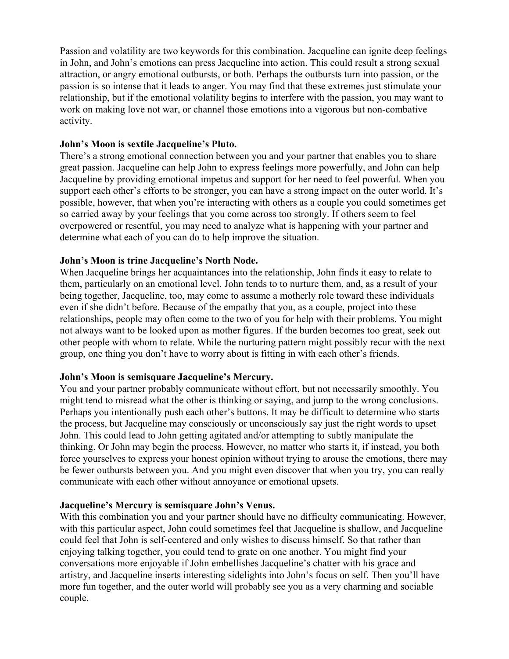Passion and volatility are two keywords for this combination. Jacqueline can ignite deep feelings in John, and John's emotions can press Jacqueline into action. This could result a strong sexual attraction, or angry emotional outbursts, or both. Perhaps the outbursts turn into passion, or the passion is so intense that it leads to anger. You may find that these extremes just stimulate your relationship, but if the emotional volatility begins to interfere with the passion, you may want to work on making love not war, or channel those emotions into a vigorous but non-combative activity.

# **John's Moon is sextile Jacqueline's Pluto.**

There's a strong emotional connection between you and your partner that enables you to share great passion. Jacqueline can help John to express feelings more powerfully, and John can help Jacqueline by providing emotional impetus and support for her need to feel powerful. When you support each other's efforts to be stronger, you can have a strong impact on the outer world. It's possible, however, that when you're interacting with others as a couple you could sometimes get so carried away by your feelings that you come across too strongly. If others seem to feel overpowered or resentful, you may need to analyze what is happening with your partner and determine what each of you can do to help improve the situation.

# **John's Moon is trine Jacqueline's North Node.**

When Jacqueline brings her acquaintances into the relationship, John finds it easy to relate to them, particularly on an emotional level. John tends to to nurture them, and, as a result of your being together, Jacqueline, too, may come to assume a motherly role toward these individuals even if she didn't before. Because of the empathy that you, as a couple, project into these relationships, people may often come to the two of you for help with their problems. You might not always want to be looked upon as mother figures. If the burden becomes too great, seek out other people with whom to relate. While the nurturing pattern might possibly recur with the next group, one thing you don't have to worry about is fitting in with each other's friends.

# **John's Moon is semisquare Jacqueline's Mercury.**

You and your partner probably communicate without effort, but not necessarily smoothly. You might tend to misread what the other is thinking or saying, and jump to the wrong conclusions. Perhaps you intentionally push each other's buttons. It may be difficult to determine who starts the process, but Jacqueline may consciously or unconsciously say just the right words to upset John. This could lead to John getting agitated and/or attempting to subtly manipulate the thinking. Or John may begin the process. However, no matter who starts it, if instead, you both force yourselves to express your honest opinion without trying to arouse the emotions, there may be fewer outbursts between you. And you might even discover that when you try, you can really communicate with each other without annoyance or emotional upsets.

# **Jacqueline's Mercury is semisquare John's Venus.**

With this combination you and your partner should have no difficulty communicating. However, with this particular aspect, John could sometimes feel that Jacqueline is shallow, and Jacqueline could feel that John is self-centered and only wishes to discuss himself. So that rather than enjoying talking together, you could tend to grate on one another. You might find your conversations more enjoyable if John embellishes Jacqueline's chatter with his grace and artistry, and Jacqueline inserts interesting sidelights into John's focus on self. Then you'll have more fun together, and the outer world will probably see you as a very charming and sociable couple.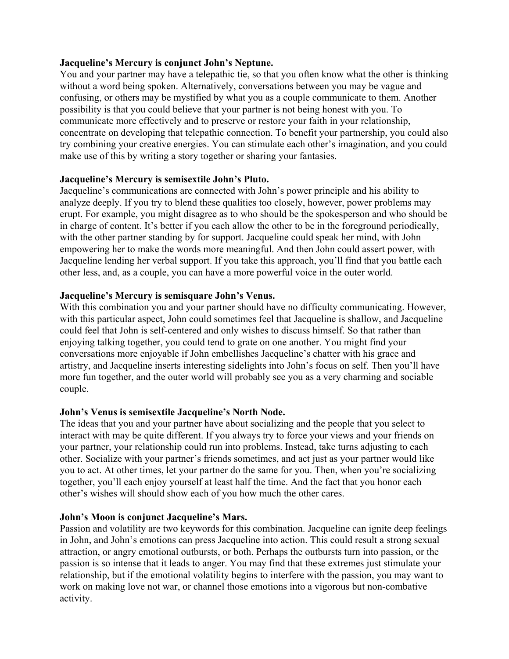# **Jacqueline's Mercury is conjunct John's Neptune.**

You and your partner may have a telepathic tie, so that you often know what the other is thinking without a word being spoken. Alternatively, conversations between you may be vague and confusing, or others may be mystified by what you as a couple communicate to them. Another possibility is that you could believe that your partner is not being honest with you. To communicate more effectively and to preserve or restore your faith in your relationship, concentrate on developing that telepathic connection. To benefit your partnership, you could also try combining your creative energies. You can stimulate each other's imagination, and you could make use of this by writing a story together or sharing your fantasies.

# **Jacqueline's Mercury is semisextile John's Pluto.**

Jacqueline's communications are connected with John's power principle and his ability to analyze deeply. If you try to blend these qualities too closely, however, power problems may erupt. For example, you might disagree as to who should be the spokesperson and who should be in charge of content. It's better if you each allow the other to be in the foreground periodically, with the other partner standing by for support. Jacqueline could speak her mind, with John empowering her to make the words more meaningful. And then John could assert power, with Jacqueline lending her verbal support. If you take this approach, you'll find that you battle each other less, and, as a couple, you can have a more powerful voice in the outer world.

# **Jacqueline's Mercury is semisquare John's Venus.**

With this combination you and your partner should have no difficulty communicating. However, with this particular aspect, John could sometimes feel that Jacqueline is shallow, and Jacqueline could feel that John is self-centered and only wishes to discuss himself. So that rather than enjoying talking together, you could tend to grate on one another. You might find your conversations more enjoyable if John embellishes Jacqueline's chatter with his grace and artistry, and Jacqueline inserts interesting sidelights into John's focus on self. Then you'll have more fun together, and the outer world will probably see you as a very charming and sociable couple.

# **John's Venus is semisextile Jacqueline's North Node.**

The ideas that you and your partner have about socializing and the people that you select to interact with may be quite different. If you always try to force your views and your friends on your partner, your relationship could run into problems. Instead, take turns adjusting to each other. Socialize with your partner's friends sometimes, and act just as your partner would like you to act. At other times, let your partner do the same for you. Then, when you're socializing together, you'll each enjoy yourself at least half the time. And the fact that you honor each other's wishes will should show each of you how much the other cares.

# **John's Moon is conjunct Jacqueline's Mars.**

Passion and volatility are two keywords for this combination. Jacqueline can ignite deep feelings in John, and John's emotions can press Jacqueline into action. This could result a strong sexual attraction, or angry emotional outbursts, or both. Perhaps the outbursts turn into passion, or the passion is so intense that it leads to anger. You may find that these extremes just stimulate your relationship, but if the emotional volatility begins to interfere with the passion, you may want to work on making love not war, or channel those emotions into a vigorous but non-combative activity.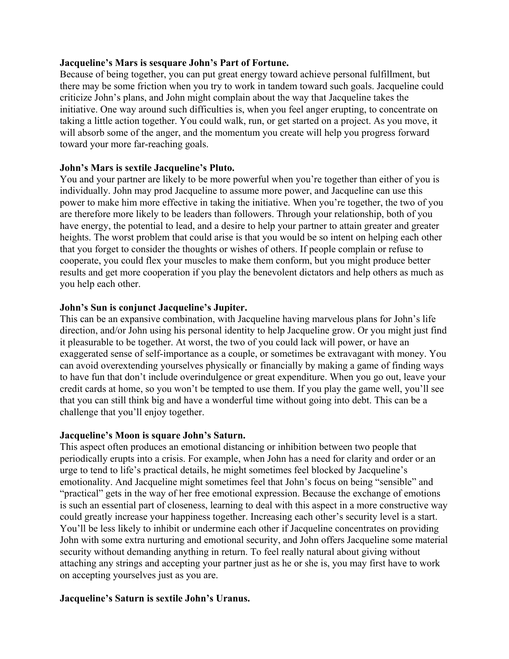# **Jacqueline's Mars is sesquare John's Part of Fortune.**

Because of being together, you can put great energy toward achieve personal fulfillment, but there may be some friction when you try to work in tandem toward such goals. Jacqueline could criticize John's plans, and John might complain about the way that Jacqueline takes the initiative. One way around such difficulties is, when you feel anger erupting, to concentrate on taking a little action together. You could walk, run, or get started on a project. As you move, it will absorb some of the anger, and the momentum you create will help you progress forward toward your more far-reaching goals.

# **John's Mars is sextile Jacqueline's Pluto.**

You and your partner are likely to be more powerful when you're together than either of you is individually. John may prod Jacqueline to assume more power, and Jacqueline can use this power to make him more effective in taking the initiative. When you're together, the two of you are therefore more likely to be leaders than followers. Through your relationship, both of you have energy, the potential to lead, and a desire to help your partner to attain greater and greater heights. The worst problem that could arise is that you would be so intent on helping each other that you forget to consider the thoughts or wishes of others. If people complain or refuse to cooperate, you could flex your muscles to make them conform, but you might produce better results and get more cooperation if you play the benevolent dictators and help others as much as you help each other.

# **John's Sun is conjunct Jacqueline's Jupiter.**

This can be an expansive combination, with Jacqueline having marvelous plans for John's life direction, and/or John using his personal identity to help Jacqueline grow. Or you might just find it pleasurable to be together. At worst, the two of you could lack will power, or have an exaggerated sense of self-importance as a couple, or sometimes be extravagant with money. You can avoid overextending yourselves physically or financially by making a game of finding ways to have fun that don't include overindulgence or great expenditure. When you go out, leave your credit cards at home, so you won't be tempted to use them. If you play the game well, you'll see that you can still think big and have a wonderful time without going into debt. This can be a challenge that you'll enjoy together.

# **Jacqueline's Moon is square John's Saturn.**

This aspect often produces an emotional distancing or inhibition between two people that periodically erupts into a crisis. For example, when John has a need for clarity and order or an urge to tend to life's practical details, he might sometimes feel blocked by Jacqueline's emotionality. And Jacqueline might sometimes feel that John's focus on being "sensible" and "practical" gets in the way of her free emotional expression. Because the exchange of emotions is such an essential part of closeness, learning to deal with this aspect in a more constructive way could greatly increase your happiness together. Increasing each other's security level is a start. You'll be less likely to inhibit or undermine each other if Jacqueline concentrates on providing John with some extra nurturing and emotional security, and John offers Jacqueline some material security without demanding anything in return. To feel really natural about giving without attaching any strings and accepting your partner just as he or she is, you may first have to work on accepting yourselves just as you are.

# **Jacqueline's Saturn is sextile John's Uranus.**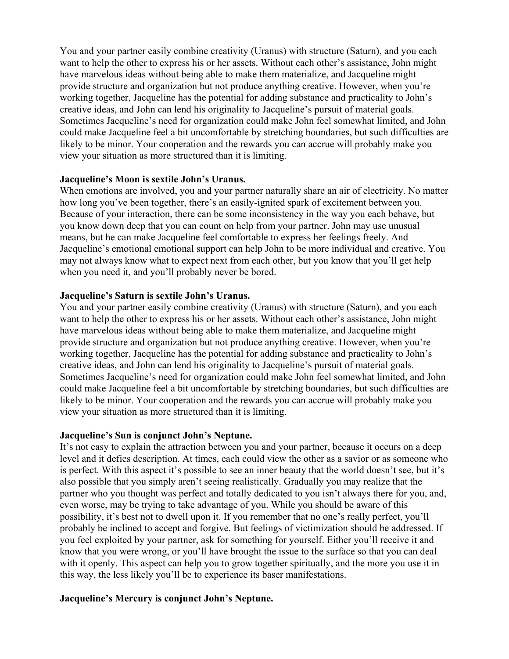You and your partner easily combine creativity (Uranus) with structure (Saturn), and you each want to help the other to express his or her assets. Without each other's assistance, John might have marvelous ideas without being able to make them materialize, and Jacqueline might provide structure and organization but not produce anything creative. However, when you're working together, Jacqueline has the potential for adding substance and practicality to John's creative ideas, and John can lend his originality to Jacqueline's pursuit of material goals. Sometimes Jacqueline's need for organization could make John feel somewhat limited, and John could make Jacqueline feel a bit uncomfortable by stretching boundaries, but such difficulties are likely to be minor. Your cooperation and the rewards you can accrue will probably make you view your situation as more structured than it is limiting.

# **Jacqueline's Moon is sextile John's Uranus.**

When emotions are involved, you and your partner naturally share an air of electricity. No matter how long you've been together, there's an easily-ignited spark of excitement between you. Because of your interaction, there can be some inconsistency in the way you each behave, but you know down deep that you can count on help from your partner. John may use unusual means, but he can make Jacqueline feel comfortable to express her feelings freely. And Jacqueline's emotional emotional support can help John to be more individual and creative. You may not always know what to expect next from each other, but you know that you'll get help when you need it, and you'll probably never be bored.

#### **Jacqueline's Saturn is sextile John's Uranus.**

You and your partner easily combine creativity (Uranus) with structure (Saturn), and you each want to help the other to express his or her assets. Without each other's assistance, John might have marvelous ideas without being able to make them materialize, and Jacqueline might provide structure and organization but not produce anything creative. However, when you're working together, Jacqueline has the potential for adding substance and practicality to John's creative ideas, and John can lend his originality to Jacqueline's pursuit of material goals. Sometimes Jacqueline's need for organization could make John feel somewhat limited, and John could make Jacqueline feel a bit uncomfortable by stretching boundaries, but such difficulties are likely to be minor. Your cooperation and the rewards you can accrue will probably make you view your situation as more structured than it is limiting.

#### **Jacqueline's Sun is conjunct John's Neptune.**

It's not easy to explain the attraction between you and your partner, because it occurs on a deep level and it defies description. At times, each could view the other as a savior or as someone who is perfect. With this aspect it's possible to see an inner beauty that the world doesn't see, but it's also possible that you simply aren't seeing realistically. Gradually you may realize that the partner who you thought was perfect and totally dedicated to you isn't always there for you, and, even worse, may be trying to take advantage of you. While you should be aware of this possibility, it's best not to dwell upon it. If you remember that no one's really perfect, you'll probably be inclined to accept and forgive. But feelings of victimization should be addressed. If you feel exploited by your partner, ask for something for yourself. Either you'll receive it and know that you were wrong, or you'll have brought the issue to the surface so that you can deal with it openly. This aspect can help you to grow together spiritually, and the more you use it in this way, the less likely you'll be to experience its baser manifestations.

# **Jacqueline's Mercury is conjunct John's Neptune.**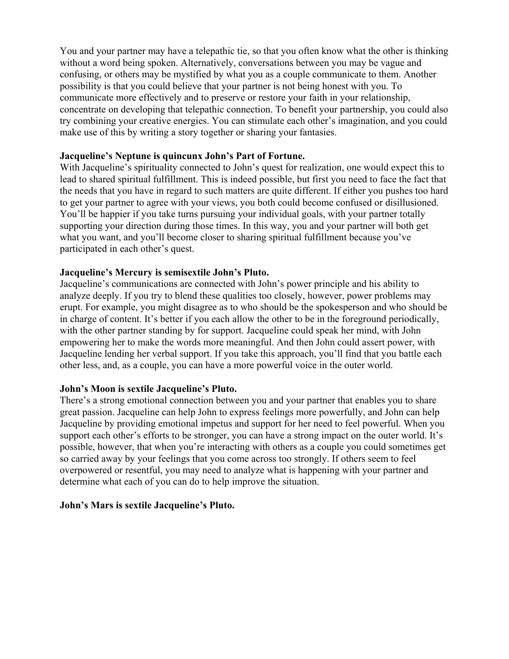You and your partner may have a telepathic tie, so that you often know what the other is thinking without a word being spoken. Alternatively, conversations between you may be vague and confusing, or others may be mystified by what you as a couple communicate to them. Another possibility is that you could believe that your partner is not being honest with you. To communicate more effectively and to preserve or restore your faith in your relationship, concentrate on developing that telepathic connection. To benefit your partnership, you could also try combining your creative energies. You can stimulate each other's imagination, and you could make use of this by writing a story together or sharing your fantasies.

# **Jacqueline's Neptune is quincunx John's Part of Fortune.**

With Jacqueline's spirituality connected to John's quest for realization, one would expect this to lead to shared spiritual fulfillment. This is indeed possible, but first you need to face the fact that the needs that you have in regard to such matters are quite different. If either you pushes too hard to get your partner to agree with your views, you both could become confused or disillusioned. You'll be happier if you take turns pursuing your individual goals, with your partner totally supporting your direction during those times. In this way, you and your partner will both get what you want, and you'll become closer to sharing spiritual fulfillment because you've participated in each other's quest.

# **Jacqueline's Mercury is semisextile John's Pluto.**

Jacqueline's communications are connected with John's power principle and his ability to analyze deeply. If you try to blend these qualities too closely, however, power problems may erupt. For example, you might disagree as to who should be the spokesperson and who should be in charge of content. It's better if you each allow the other to be in the foreground periodically, with the other partner standing by for support. Jacqueline could speak her mind, with John empowering her to make the words more meaningful. And then John could assert power, with Jacqueline lending her verbal support. If you take this approach, you'll find that you battle each other less, and, as a couple, you can have a more powerful voice in the outer world.

# **John's Moon is sextile Jacqueline's Pluto.**

There's a strong emotional connection between you and your partner that enables you to share great passion. Jacqueline can help John to express feelings more powerfully, and John can help Jacqueline by providing emotional impetus and support for her need to feel powerful. When you support each other's efforts to be stronger, you can have a strong impact on the outer world. It's possible, however, that when you're interacting with others as a couple you could sometimes get so carried away by your feelings that you come across too strongly. If others seem to feel overpowered or resentful, you may need to analyze what is happening with your partner and determine what each of you can do to help improve the situation.

# **John's Mars is sextile Jacqueline's Pluto.**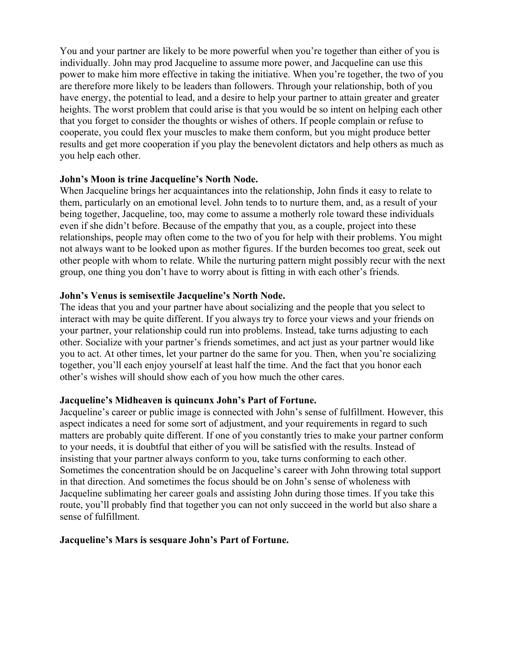You and your partner are likely to be more powerful when you're together than either of you is individually. John may prod Jacqueline to assume more power, and Jacqueline can use this power to make him more effective in taking the initiative. When you're together, the two of you are therefore more likely to be leaders than followers. Through your relationship, both of you have energy, the potential to lead, and a desire to help your partner to attain greater and greater heights. The worst problem that could arise is that you would be so intent on helping each other that you forget to consider the thoughts or wishes of others. If people complain or refuse to cooperate, you could flex your muscles to make them conform, but you might produce better results and get more cooperation if you play the benevolent dictators and help others as much as you help each other.

# **John's Moon is trine Jacqueline's North Node.**

When Jacqueline brings her acquaintances into the relationship, John finds it easy to relate to them, particularly on an emotional level. John tends to to nurture them, and, as a result of your being together, Jacqueline, too, may come to assume a motherly role toward these individuals even if she didn't before. Because of the empathy that you, as a couple, project into these relationships, people may often come to the two of you for help with their problems. You might not always want to be looked upon as mother figures. If the burden becomes too great, seek out other people with whom to relate. While the nurturing pattern might possibly recur with the next group, one thing you don't have to worry about is fitting in with each other's friends.

# **John's Venus is semisextile Jacqueline's North Node.**

The ideas that you and your partner have about socializing and the people that you select to interact with may be quite different. If you always try to force your views and your friends on your partner, your relationship could run into problems. Instead, take turns adjusting to each other. Socialize with your partner's friends sometimes, and act just as your partner would like you to act. At other times, let your partner do the same for you. Then, when you're socializing together, you'll each enjoy yourself at least half the time. And the fact that you honor each other's wishes will should show each of you how much the other cares.

# **Jacqueline's Midheaven is quincunx John's Part of Fortune.**

Jacqueline's career or public image is connected with John's sense of fulfillment. However, this aspect indicates a need for some sort of adjustment, and your requirements in regard to such matters are probably quite different. If one of you constantly tries to make your partner conform to your needs, it is doubtful that either of you will be satisfied with the results. Instead of insisting that your partner always conform to you, take turns conforming to each other. Sometimes the concentration should be on Jacqueline's career with John throwing total support in that direction. And sometimes the focus should be on John's sense of wholeness with Jacqueline sublimating her career goals and assisting John during those times. If you take this route, you'll probably find that together you can not only succeed in the world but also share a sense of fulfillment.

# **Jacqueline's Mars is sesquare John's Part of Fortune.**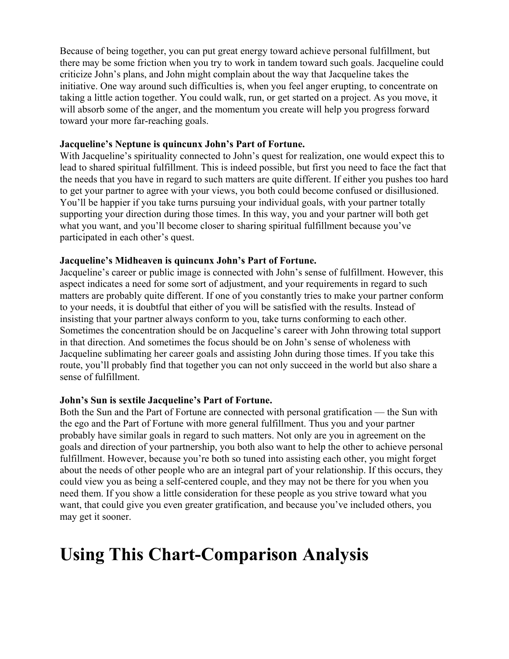Because of being together, you can put great energy toward achieve personal fulfillment, but there may be some friction when you try to work in tandem toward such goals. Jacqueline could criticize John's plans, and John might complain about the way that Jacqueline takes the initiative. One way around such difficulties is, when you feel anger erupting, to concentrate on taking a little action together. You could walk, run, or get started on a project. As you move, it will absorb some of the anger, and the momentum you create will help you progress forward toward your more far-reaching goals.

# **Jacqueline's Neptune is quincunx John's Part of Fortune.**

With Jacqueline's spirituality connected to John's quest for realization, one would expect this to lead to shared spiritual fulfillment. This is indeed possible, but first you need to face the fact that the needs that you have in regard to such matters are quite different. If either you pushes too hard to get your partner to agree with your views, you both could become confused or disillusioned. You'll be happier if you take turns pursuing your individual goals, with your partner totally supporting your direction during those times. In this way, you and your partner will both get what you want, and you'll become closer to sharing spiritual fulfillment because you've participated in each other's quest.

# **Jacqueline's Midheaven is quincunx John's Part of Fortune.**

Jacqueline's career or public image is connected with John's sense of fulfillment. However, this aspect indicates a need for some sort of adjustment, and your requirements in regard to such matters are probably quite different. If one of you constantly tries to make your partner conform to your needs, it is doubtful that either of you will be satisfied with the results. Instead of insisting that your partner always conform to you, take turns conforming to each other. Sometimes the concentration should be on Jacqueline's career with John throwing total support in that direction. And sometimes the focus should be on John's sense of wholeness with Jacqueline sublimating her career goals and assisting John during those times. If you take this route, you'll probably find that together you can not only succeed in the world but also share a sense of fulfillment.

# **John's Sun is sextile Jacqueline's Part of Fortune.**

Both the Sun and the Part of Fortune are connected with personal gratification — the Sun with the ego and the Part of Fortune with more general fulfillment. Thus you and your partner probably have similar goals in regard to such matters. Not only are you in agreement on the goals and direction of your partnership, you both also want to help the other to achieve personal fulfillment. However, because you're both so tuned into assisting each other, you might forget about the needs of other people who are an integral part of your relationship. If this occurs, they could view you as being a self-centered couple, and they may not be there for you when you need them. If you show a little consideration for these people as you strive toward what you want, that could give you even greater gratification, and because you've included others, you may get it sooner.

# **Using This Chart-Comparison Analysis**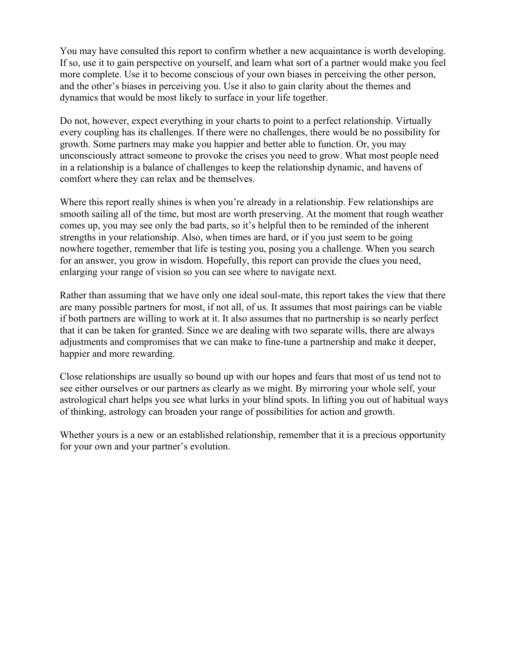You may have consulted this report to confirm whether a new acquaintance is worth developing. If so, use it to gain perspective on yourself, and learn what sort of a partner would make you feel more complete. Use it to become conscious of your own biases in perceiving the other person, and the other's biases in perceiving you. Use it also to gain clarity about the themes and dynamics that would be most likely to surface in your life together.

Do not, however, expect everything in your charts to point to a perfect relationship. Virtually every coupling has its challenges. If there were no challenges, there would be no possibility for growth. Some partners may make you happier and better able to function. Or, you may unconsciously attract someone to provoke the crises you need to grow. What most people need in a relationship is a balance of challenges to keep the relationship dynamic, and havens of comfort where they can relax and be themselves.

Where this report really shines is when you're already in a relationship. Few relationships are smooth sailing all of the time, but most are worth preserving. At the moment that rough weather comes up, you may see only the bad parts, so it's helpful then to be reminded of the inherent strengths in your relationship. Also, when times are hard, or if you just seem to be going nowhere together, remember that life is testing you, posing you a challenge. When you search for an answer, you grow in wisdom. Hopefully, this report can provide the clues you need, enlarging your range of vision so you can see where to navigate next.

Rather than assuming that we have only one ideal soul-mate, this report takes the view that there are many possible partners for most, if not all, of us. It assumes that most pairings can be viable if both partners are willing to work at it. It also assumes that no partnership is so nearly perfect that it can be taken for granted. Since we are dealing with two separate wills, there are always adjustments and compromises that we can make to fine-tune a partnership and make it deeper, happier and more rewarding.

Close relationships are usually so bound up with our hopes and fears that most of us tend not to see either ourselves or our partners as clearly as we might. By mirroring your whole self, your astrological chart helps you see what lurks in your blind spots. In lifting you out of habitual ways of thinking, astrology can broaden your range of possibilities for action and growth.

Whether yours is a new or an established relationship, remember that it is a precious opportunity for your own and your partner's evolution.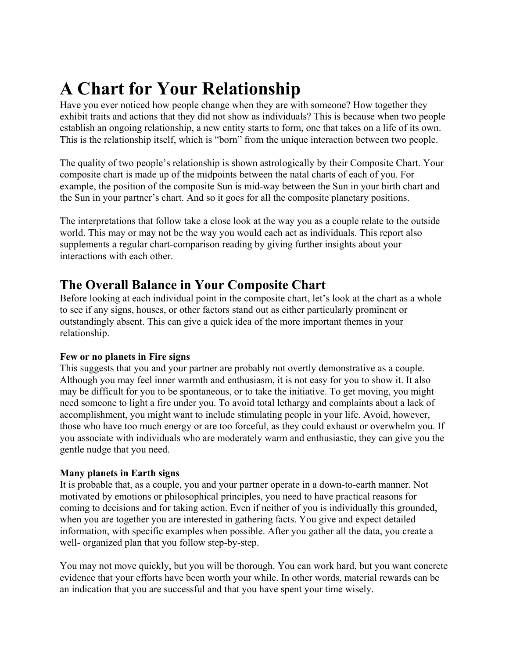# **A Chart for Your Relationship**

Have you ever noticed how people change when they are with someone? How together they exhibit traits and actions that they did not show as individuals? This is because when two people establish an ongoing relationship, a new entity starts to form, one that takes on a life of its own. This is the relationship itself, which is "born" from the unique interaction between two people.

The quality of two people's relationship is shown astrologically by their Composite Chart. Your composite chart is made up of the midpoints between the natal charts of each of you. For example, the position of the composite Sun is mid-way between the Sun in your birth chart and the Sun in your partner's chart. And so it goes for all the composite planetary positions.

The interpretations that follow take a close look at the way you as a couple relate to the outside world. This may or may not be the way you would each act as individuals. This report also supplements a regular chart-comparison reading by giving further insights about your interactions with each other.

# **The Overall Balance in Your Composite Chart**

Before looking at each individual point in the composite chart, let's look at the chart as a whole to see if any signs, houses, or other factors stand out as either particularly prominent or outstandingly absent. This can give a quick idea of the more important themes in your relationship.

# **Few or no planets in Fire signs**

This suggests that you and your partner are probably not overtly demonstrative as a couple. Although you may feel inner warmth and enthusiasm, it is not easy for you to show it. It also may be difficult for you to be spontaneous, or to take the initiative. To get moving, you might need someone to light a fire under you. To avoid total lethargy and complaints about a lack of accomplishment, you might want to include stimulating people in your life. Avoid, however, those who have too much energy or are too forceful, as they could exhaust or overwhelm you. If you associate with individuals who are moderately warm and enthusiastic, they can give you the gentle nudge that you need.

# **Many planets in Earth signs**

It is probable that, as a couple, you and your partner operate in a down-to-earth manner. Not motivated by emotions or philosophical principles, you need to have practical reasons for coming to decisions and for taking action. Even if neither of you is individually this grounded, when you are together you are interested in gathering facts. You give and expect detailed information, with specific examples when possible. After you gather all the data, you create a well- organized plan that you follow step-by-step.

You may not move quickly, but you will be thorough. You can work hard, but you want concrete evidence that your efforts have been worth your while. In other words, material rewards can be an indication that you are successful and that you have spent your time wisely.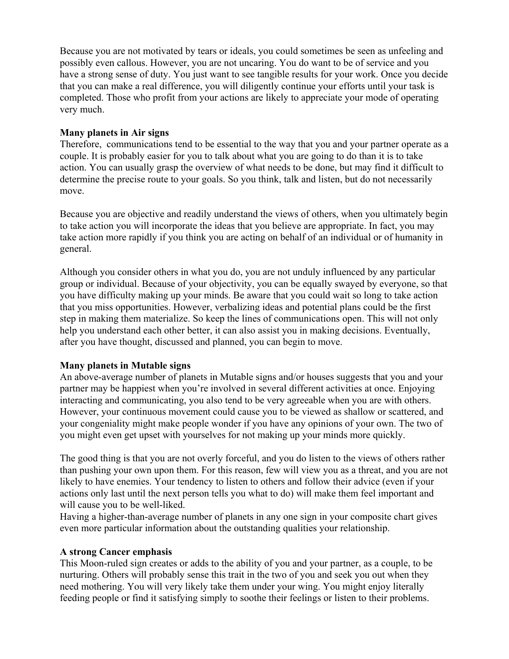Because you are not motivated by tears or ideals, you could sometimes be seen as unfeeling and possibly even callous. However, you are not uncaring. You do want to be of service and you have a strong sense of duty. You just want to see tangible results for your work. Once you decide that you can make a real difference, you will diligently continue your efforts until your task is completed. Those who profit from your actions are likely to appreciate your mode of operating very much.

# **Many planets in Air signs**

Therefore, communications tend to be essential to the way that you and your partner operate as a couple. It is probably easier for you to talk about what you are going to do than it is to take action. You can usually grasp the overview of what needs to be done, but may find it difficult to determine the precise route to your goals. So you think, talk and listen, but do not necessarily move.

Because you are objective and readily understand the views of others, when you ultimately begin to take action you will incorporate the ideas that you believe are appropriate. In fact, you may take action more rapidly if you think you are acting on behalf of an individual or of humanity in general.

Although you consider others in what you do, you are not unduly influenced by any particular group or individual. Because of your objectivity, you can be equally swayed by everyone, so that you have difficulty making up your minds. Be aware that you could wait so long to take action that you miss opportunities. However, verbalizing ideas and potential plans could be the first step in making them materialize. So keep the lines of communications open. This will not only help you understand each other better, it can also assist you in making decisions. Eventually, after you have thought, discussed and planned, you can begin to move.

# **Many planets in Mutable signs**

An above-average number of planets in Mutable signs and/or houses suggests that you and your partner may be happiest when you're involved in several different activities at once. Enjoying interacting and communicating, you also tend to be very agreeable when you are with others. However, your continuous movement could cause you to be viewed as shallow or scattered, and your congeniality might make people wonder if you have any opinions of your own. The two of you might even get upset with yourselves for not making up your minds more quickly.

The good thing is that you are not overly forceful, and you do listen to the views of others rather than pushing your own upon them. For this reason, few will view you as a threat, and you are not likely to have enemies. Your tendency to listen to others and follow their advice (even if your actions only last until the next person tells you what to do) will make them feel important and will cause you to be well-liked.

Having a higher-than-average number of planets in any one sign in your composite chart gives even more particular information about the outstanding qualities your relationship.

# **A strong Cancer emphasis**

This Moon-ruled sign creates or adds to the ability of you and your partner, as a couple, to be nurturing. Others will probably sense this trait in the two of you and seek you out when they need mothering. You will very likely take them under your wing. You might enjoy literally feeding people or find it satisfying simply to soothe their feelings or listen to their problems.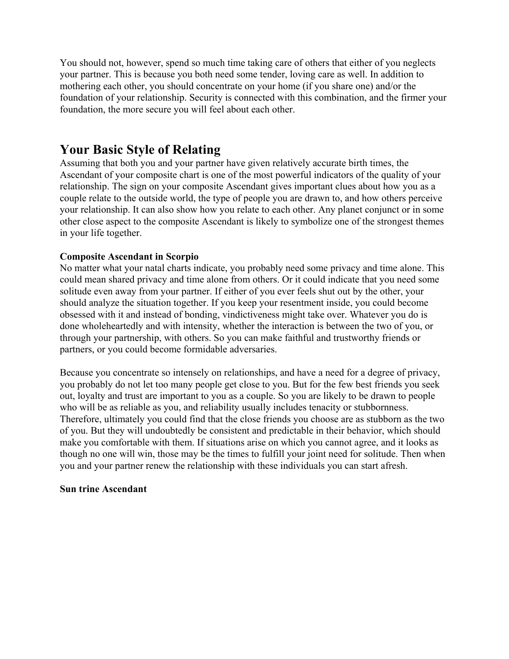You should not, however, spend so much time taking care of others that either of you neglects your partner. This is because you both need some tender, loving care as well. In addition to mothering each other, you should concentrate on your home (if you share one) and/or the foundation of your relationship. Security is connected with this combination, and the firmer your foundation, the more secure you will feel about each other.

# **Your Basic Style of Relating**

Assuming that both you and your partner have given relatively accurate birth times, the Ascendant of your composite chart is one of the most powerful indicators of the quality of your relationship. The sign on your composite Ascendant gives important clues about how you as a couple relate to the outside world, the type of people you are drawn to, and how others perceive your relationship. It can also show how you relate to each other. Any planet conjunct or in some other close aspect to the composite Ascendant is likely to symbolize one of the strongest themes in your life together.

# **Composite Ascendant in Scorpio**

No matter what your natal charts indicate, you probably need some privacy and time alone. This could mean shared privacy and time alone from others. Or it could indicate that you need some solitude even away from your partner. If either of you ever feels shut out by the other, your should analyze the situation together. If you keep your resentment inside, you could become obsessed with it and instead of bonding, vindictiveness might take over. Whatever you do is done wholeheartedly and with intensity, whether the interaction is between the two of you, or through your partnership, with others. So you can make faithful and trustworthy friends or partners, or you could become formidable adversaries.

Because you concentrate so intensely on relationships, and have a need for a degree of privacy, you probably do not let too many people get close to you. But for the few best friends you seek out, loyalty and trust are important to you as a couple. So you are likely to be drawn to people who will be as reliable as you, and reliability usually includes tenacity or stubbornness. Therefore, ultimately you could find that the close friends you choose are as stubborn as the two of you. But they will undoubtedly be consistent and predictable in their behavior, which should make you comfortable with them. If situations arise on which you cannot agree, and it looks as though no one will win, those may be the times to fulfill your joint need for solitude. Then when you and your partner renew the relationship with these individuals you can start afresh.

# **Sun trine Ascendant**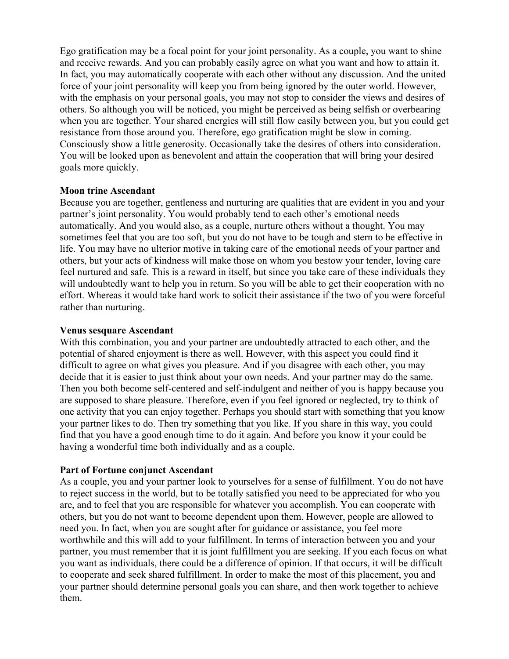Ego gratification may be a focal point for your joint personality. As a couple, you want to shine and receive rewards. And you can probably easily agree on what you want and how to attain it. In fact, you may automatically cooperate with each other without any discussion. And the united force of your joint personality will keep you from being ignored by the outer world. However, with the emphasis on your personal goals, you may not stop to consider the views and desires of others. So although you will be noticed, you might be perceived as being selfish or overbearing when you are together. Your shared energies will still flow easily between you, but you could get resistance from those around you. Therefore, ego gratification might be slow in coming. Consciously show a little generosity. Occasionally take the desires of others into consideration. You will be looked upon as benevolent and attain the cooperation that will bring your desired goals more quickly.

# **Moon trine Ascendant**

Because you are together, gentleness and nurturing are qualities that are evident in you and your partner's joint personality. You would probably tend to each other's emotional needs automatically. And you would also, as a couple, nurture others without a thought. You may sometimes feel that you are too soft, but you do not have to be tough and stern to be effective in life. You may have no ulterior motive in taking care of the emotional needs of your partner and others, but your acts of kindness will make those on whom you bestow your tender, loving care feel nurtured and safe. This is a reward in itself, but since you take care of these individuals they will undoubtedly want to help you in return. So you will be able to get their cooperation with no effort. Whereas it would take hard work to solicit their assistance if the two of you were forceful rather than nurturing.

# **Venus sesquare Ascendant**

With this combination, you and your partner are undoubtedly attracted to each other, and the potential of shared enjoyment is there as well. However, with this aspect you could find it difficult to agree on what gives you pleasure. And if you disagree with each other, you may decide that it is easier to just think about your own needs. And your partner may do the same. Then you both become self-centered and self-indulgent and neither of you is happy because you are supposed to share pleasure. Therefore, even if you feel ignored or neglected, try to think of one activity that you can enjoy together. Perhaps you should start with something that you know your partner likes to do. Then try something that you like. If you share in this way, you could find that you have a good enough time to do it again. And before you know it your could be having a wonderful time both individually and as a couple.

# **Part of Fortune conjunct Ascendant**

As a couple, you and your partner look to yourselves for a sense of fulfillment. You do not have to reject success in the world, but to be totally satisfied you need to be appreciated for who you are, and to feel that you are responsible for whatever you accomplish. You can cooperate with others, but you do not want to become dependent upon them. However, people are allowed to need you. In fact, when you are sought after for guidance or assistance, you feel more worthwhile and this will add to your fulfillment. In terms of interaction between you and your partner, you must remember that it is joint fulfillment you are seeking. If you each focus on what you want as individuals, there could be a difference of opinion. If that occurs, it will be difficult to cooperate and seek shared fulfillment. In order to make the most of this placement, you and your partner should determine personal goals you can share, and then work together to achieve them.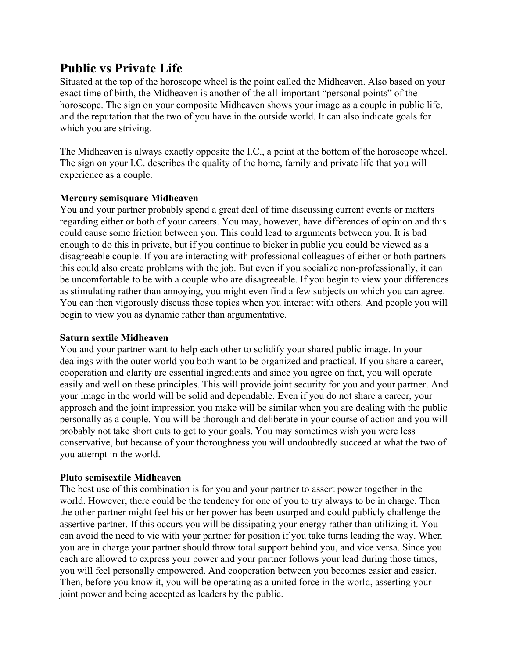# **Public vs Private Life**

Situated at the top of the horoscope wheel is the point called the Midheaven. Also based on your exact time of birth, the Midheaven is another of the all-important "personal points" of the horoscope. The sign on your composite Midheaven shows your image as a couple in public life, and the reputation that the two of you have in the outside world. It can also indicate goals for which you are striving.

The Midheaven is always exactly opposite the I.C., a point at the bottom of the horoscope wheel. The sign on your I.C. describes the quality of the home, family and private life that you will experience as a couple.

# **Mercury semisquare Midheaven**

You and your partner probably spend a great deal of time discussing current events or matters regarding either or both of your careers. You may, however, have differences of opinion and this could cause some friction between you. This could lead to arguments between you. It is bad enough to do this in private, but if you continue to bicker in public you could be viewed as a disagreeable couple. If you are interacting with professional colleagues of either or both partners this could also create problems with the job. But even if you socialize non-professionally, it can be uncomfortable to be with a couple who are disagreeable. If you begin to view your differences as stimulating rather than annoying, you might even find a few subjects on which you can agree. You can then vigorously discuss those topics when you interact with others. And people you will begin to view you as dynamic rather than argumentative.

# **Saturn sextile Midheaven**

You and your partner want to help each other to solidify your shared public image. In your dealings with the outer world you both want to be organized and practical. If you share a career, cooperation and clarity are essential ingredients and since you agree on that, you will operate easily and well on these principles. This will provide joint security for you and your partner. And your image in the world will be solid and dependable. Even if you do not share a career, your approach and the joint impression you make will be similar when you are dealing with the public personally as a couple. You will be thorough and deliberate in your course of action and you will probably not take short cuts to get to your goals. You may sometimes wish you were less conservative, but because of your thoroughness you will undoubtedly succeed at what the two of you attempt in the world.

# **Pluto semisextile Midheaven**

The best use of this combination is for you and your partner to assert power together in the world. However, there could be the tendency for one of you to try always to be in charge. Then the other partner might feel his or her power has been usurped and could publicly challenge the assertive partner. If this occurs you will be dissipating your energy rather than utilizing it. You can avoid the need to vie with your partner for position if you take turns leading the way. When you are in charge your partner should throw total support behind you, and vice versa. Since you each are allowed to express your power and your partner follows your lead during those times, you will feel personally empowered. And cooperation between you becomes easier and easier. Then, before you know it, you will be operating as a united force in the world, asserting your joint power and being accepted as leaders by the public.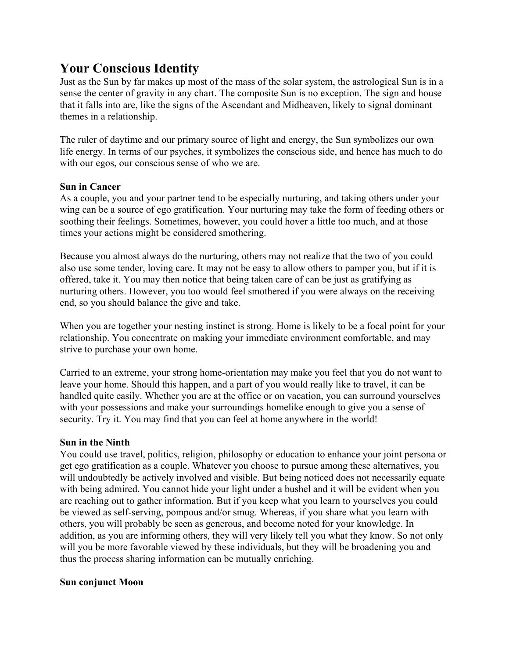# **Your Conscious Identity**

Just as the Sun by far makes up most of the mass of the solar system, the astrological Sun is in a sense the center of gravity in any chart. The composite Sun is no exception. The sign and house that it falls into are, like the signs of the Ascendant and Midheaven, likely to signal dominant themes in a relationship.

The ruler of daytime and our primary source of light and energy, the Sun symbolizes our own life energy. In terms of our psyches, it symbolizes the conscious side, and hence has much to do with our egos, our conscious sense of who we are.

# **Sun in Cancer**

As a couple, you and your partner tend to be especially nurturing, and taking others under your wing can be a source of ego gratification. Your nurturing may take the form of feeding others or soothing their feelings. Sometimes, however, you could hover a little too much, and at those times your actions might be considered smothering.

Because you almost always do the nurturing, others may not realize that the two of you could also use some tender, loving care. It may not be easy to allow others to pamper you, but if it is offered, take it. You may then notice that being taken care of can be just as gratifying as nurturing others. However, you too would feel smothered if you were always on the receiving end, so you should balance the give and take.

When you are together your nesting instinct is strong. Home is likely to be a focal point for your relationship. You concentrate on making your immediate environment comfortable, and may strive to purchase your own home.

Carried to an extreme, your strong home-orientation may make you feel that you do not want to leave your home. Should this happen, and a part of you would really like to travel, it can be handled quite easily. Whether you are at the office or on vacation, you can surround yourselves with your possessions and make your surroundings homelike enough to give you a sense of security. Try it. You may find that you can feel at home anywhere in the world!

# **Sun in the Ninth**

You could use travel, politics, religion, philosophy or education to enhance your joint persona or get ego gratification as a couple. Whatever you choose to pursue among these alternatives, you will undoubtedly be actively involved and visible. But being noticed does not necessarily equate with being admired. You cannot hide your light under a bushel and it will be evident when you are reaching out to gather information. But if you keep what you learn to yourselves you could be viewed as self-serving, pompous and/or smug. Whereas, if you share what you learn with others, you will probably be seen as generous, and become noted for your knowledge. In addition, as you are informing others, they will very likely tell you what they know. So not only will you be more favorable viewed by these individuals, but they will be broadening you and thus the process sharing information can be mutually enriching.

# **Sun conjunct Moon**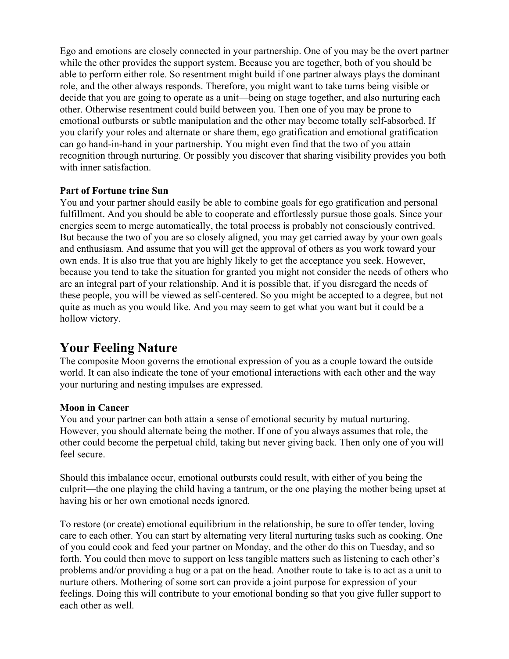Ego and emotions are closely connected in your partnership. One of you may be the overt partner while the other provides the support system. Because you are together, both of you should be able to perform either role. So resentment might build if one partner always plays the dominant role, and the other always responds. Therefore, you might want to take turns being visible or decide that you are going to operate as a unit—being on stage together, and also nurturing each other. Otherwise resentment could build between you. Then one of you may be prone to emotional outbursts or subtle manipulation and the other may become totally self-absorbed. If you clarify your roles and alternate or share them, ego gratification and emotional gratification can go hand-in-hand in your partnership. You might even find that the two of you attain recognition through nurturing. Or possibly you discover that sharing visibility provides you both with inner satisfaction.

# **Part of Fortune trine Sun**

You and your partner should easily be able to combine goals for ego gratification and personal fulfillment. And you should be able to cooperate and effortlessly pursue those goals. Since your energies seem to merge automatically, the total process is probably not consciously contrived. But because the two of you are so closely aligned, you may get carried away by your own goals and enthusiasm. And assume that you will get the approval of others as you work toward your own ends. It is also true that you are highly likely to get the acceptance you seek. However, because you tend to take the situation for granted you might not consider the needs of others who are an integral part of your relationship. And it is possible that, if you disregard the needs of these people, you will be viewed as self-centered. So you might be accepted to a degree, but not quite as much as you would like. And you may seem to get what you want but it could be a hollow victory.

# **Your Feeling Nature**

The composite Moon governs the emotional expression of you as a couple toward the outside world. It can also indicate the tone of your emotional interactions with each other and the way your nurturing and nesting impulses are expressed.

# **Moon in Cancer**

You and your partner can both attain a sense of emotional security by mutual nurturing. However, you should alternate being the mother. If one of you always assumes that role, the other could become the perpetual child, taking but never giving back. Then only one of you will feel secure.

Should this imbalance occur, emotional outbursts could result, with either of you being the culprit—the one playing the child having a tantrum, or the one playing the mother being upset at having his or her own emotional needs ignored.

To restore (or create) emotional equilibrium in the relationship, be sure to offer tender, loving care to each other. You can start by alternating very literal nurturing tasks such as cooking. One of you could cook and feed your partner on Monday, and the other do this on Tuesday, and so forth. You could then move to support on less tangible matters such as listening to each other's problems and/or providing a hug or a pat on the head. Another route to take is to act as a unit to nurture others. Mothering of some sort can provide a joint purpose for expression of your feelings. Doing this will contribute to your emotional bonding so that you give fuller support to each other as well.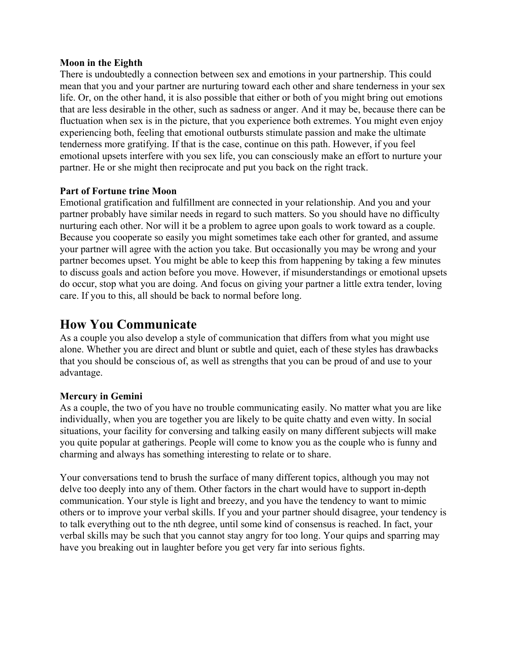#### **Moon in the Eighth**

There is undoubtedly a connection between sex and emotions in your partnership. This could mean that you and your partner are nurturing toward each other and share tenderness in your sex life. Or, on the other hand, it is also possible that either or both of you might bring out emotions that are less desirable in the other, such as sadness or anger. And it may be, because there can be fluctuation when sex is in the picture, that you experience both extremes. You might even enjoy experiencing both, feeling that emotional outbursts stimulate passion and make the ultimate tenderness more gratifying. If that is the case, continue on this path. However, if you feel emotional upsets interfere with you sex life, you can consciously make an effort to nurture your partner. He or she might then reciprocate and put you back on the right track.

# **Part of Fortune trine Moon**

Emotional gratification and fulfillment are connected in your relationship. And you and your partner probably have similar needs in regard to such matters. So you should have no difficulty nurturing each other. Nor will it be a problem to agree upon goals to work toward as a couple. Because you cooperate so easily you might sometimes take each other for granted, and assume your partner will agree with the action you take. But occasionally you may be wrong and your partner becomes upset. You might be able to keep this from happening by taking a few minutes to discuss goals and action before you move. However, if misunderstandings or emotional upsets do occur, stop what you are doing. And focus on giving your partner a little extra tender, loving care. If you to this, all should be back to normal before long.

# **How You Communicate**

As a couple you also develop a style of communication that differs from what you might use alone. Whether you are direct and blunt or subtle and quiet, each of these styles has drawbacks that you should be conscious of, as well as strengths that you can be proud of and use to your advantage.

# **Mercury in Gemini**

As a couple, the two of you have no trouble communicating easily. No matter what you are like individually, when you are together you are likely to be quite chatty and even witty. In social situations, your facility for conversing and talking easily on many different subjects will make you quite popular at gatherings. People will come to know you as the couple who is funny and charming and always has something interesting to relate or to share.

Your conversations tend to brush the surface of many different topics, although you may not delve too deeply into any of them. Other factors in the chart would have to support in-depth communication. Your style is light and breezy, and you have the tendency to want to mimic others or to improve your verbal skills. If you and your partner should disagree, your tendency is to talk everything out to the nth degree, until some kind of consensus is reached. In fact, your verbal skills may be such that you cannot stay angry for too long. Your quips and sparring may have you breaking out in laughter before you get very far into serious fights.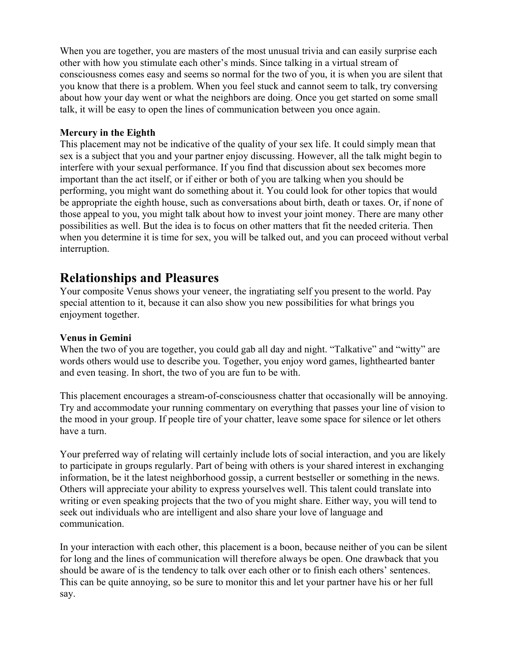When you are together, you are masters of the most unusual trivia and can easily surprise each other with how you stimulate each other's minds. Since talking in a virtual stream of consciousness comes easy and seems so normal for the two of you, it is when you are silent that you know that there is a problem. When you feel stuck and cannot seem to talk, try conversing about how your day went or what the neighbors are doing. Once you get started on some small talk, it will be easy to open the lines of communication between you once again.

# **Mercury in the Eighth**

This placement may not be indicative of the quality of your sex life. It could simply mean that sex is a subject that you and your partner enjoy discussing. However, all the talk might begin to interfere with your sexual performance. If you find that discussion about sex becomes more important than the act itself, or if either or both of you are talking when you should be performing, you might want do something about it. You could look for other topics that would be appropriate the eighth house, such as conversations about birth, death or taxes. Or, if none of those appeal to you, you might talk about how to invest your joint money. There are many other possibilities as well. But the idea is to focus on other matters that fit the needed criteria. Then when you determine it is time for sex, you will be talked out, and you can proceed without verbal interruption.

# **Relationships and Pleasures**

Your composite Venus shows your veneer, the ingratiating self you present to the world. Pay special attention to it, because it can also show you new possibilities for what brings you enjoyment together.

# **Venus in Gemini**

When the two of you are together, you could gab all day and night. "Talkative" and "witty" are words others would use to describe you. Together, you enjoy word games, lighthearted banter and even teasing. In short, the two of you are fun to be with.

This placement encourages a stream-of-consciousness chatter that occasionally will be annoying. Try and accommodate your running commentary on everything that passes your line of vision to the mood in your group. If people tire of your chatter, leave some space for silence or let others have a turn.

Your preferred way of relating will certainly include lots of social interaction, and you are likely to participate in groups regularly. Part of being with others is your shared interest in exchanging information, be it the latest neighborhood gossip, a current bestseller or something in the news. Others will appreciate your ability to express yourselves well. This talent could translate into writing or even speaking projects that the two of you might share. Either way, you will tend to seek out individuals who are intelligent and also share your love of language and communication.

In your interaction with each other, this placement is a boon, because neither of you can be silent for long and the lines of communication will therefore always be open. One drawback that you should be aware of is the tendency to talk over each other or to finish each others' sentences. This can be quite annoying, so be sure to monitor this and let your partner have his or her full say.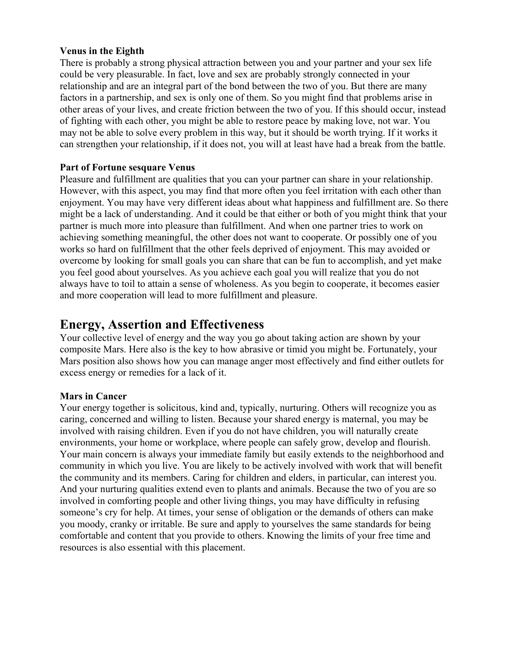# **Venus in the Eighth**

There is probably a strong physical attraction between you and your partner and your sex life could be very pleasurable. In fact, love and sex are probably strongly connected in your relationship and are an integral part of the bond between the two of you. But there are many factors in a partnership, and sex is only one of them. So you might find that problems arise in other areas of your lives, and create friction between the two of you. If this should occur, instead of fighting with each other, you might be able to restore peace by making love, not war. You may not be able to solve every problem in this way, but it should be worth trying. If it works it can strengthen your relationship, if it does not, you will at least have had a break from the battle.

# **Part of Fortune sesquare Venus**

Pleasure and fulfillment are qualities that you can your partner can share in your relationship. However, with this aspect, you may find that more often you feel irritation with each other than enjoyment. You may have very different ideas about what happiness and fulfillment are. So there might be a lack of understanding. And it could be that either or both of you might think that your partner is much more into pleasure than fulfillment. And when one partner tries to work on achieving something meaningful, the other does not want to cooperate. Or possibly one of you works so hard on fulfillment that the other feels deprived of enjoyment. This may avoided or overcome by looking for small goals you can share that can be fun to accomplish, and yet make you feel good about yourselves. As you achieve each goal you will realize that you do not always have to toil to attain a sense of wholeness. As you begin to cooperate, it becomes easier and more cooperation will lead to more fulfillment and pleasure.

# **Energy, Assertion and Effectiveness**

Your collective level of energy and the way you go about taking action are shown by your composite Mars. Here also is the key to how abrasive or timid you might be. Fortunately, your Mars position also shows how you can manage anger most effectively and find either outlets for excess energy or remedies for a lack of it.

# **Mars in Cancer**

Your energy together is solicitous, kind and, typically, nurturing. Others will recognize you as caring, concerned and willing to listen. Because your shared energy is maternal, you may be involved with raising children. Even if you do not have children, you will naturally create environments, your home or workplace, where people can safely grow, develop and flourish. Your main concern is always your immediate family but easily extends to the neighborhood and community in which you live. You are likely to be actively involved with work that will benefit the community and its members. Caring for children and elders, in particular, can interest you. And your nurturing qualities extend even to plants and animals. Because the two of you are so involved in comforting people and other living things, you may have difficulty in refusing someone's cry for help. At times, your sense of obligation or the demands of others can make you moody, cranky or irritable. Be sure and apply to yourselves the same standards for being comfortable and content that you provide to others. Knowing the limits of your free time and resources is also essential with this placement.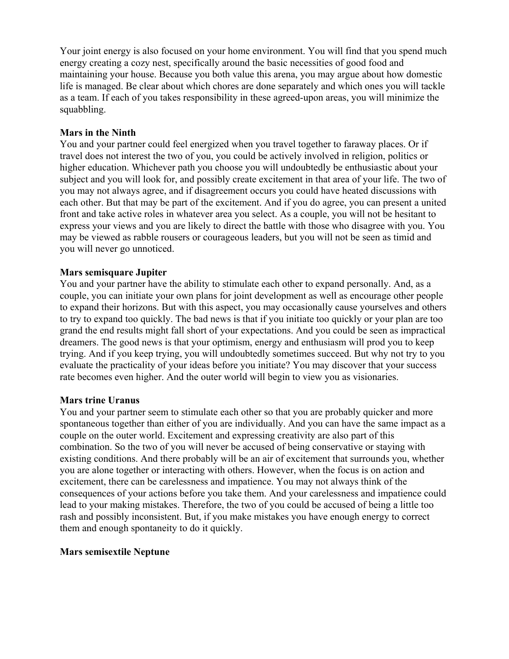Your joint energy is also focused on your home environment. You will find that you spend much energy creating a cozy nest, specifically around the basic necessities of good food and maintaining your house. Because you both value this arena, you may argue about how domestic life is managed. Be clear about which chores are done separately and which ones you will tackle as a team. If each of you takes responsibility in these agreed-upon areas, you will minimize the squabbling.

# **Mars in the Ninth**

You and your partner could feel energized when you travel together to faraway places. Or if travel does not interest the two of you, you could be actively involved in religion, politics or higher education. Whichever path you choose you will undoubtedly be enthusiastic about your subject and you will look for, and possibly create excitement in that area of your life. The two of you may not always agree, and if disagreement occurs you could have heated discussions with each other. But that may be part of the excitement. And if you do agree, you can present a united front and take active roles in whatever area you select. As a couple, you will not be hesitant to express your views and you are likely to direct the battle with those who disagree with you. You may be viewed as rabble rousers or courageous leaders, but you will not be seen as timid and you will never go unnoticed.

# **Mars semisquare Jupiter**

You and your partner have the ability to stimulate each other to expand personally. And, as a couple, you can initiate your own plans for joint development as well as encourage other people to expand their horizons. But with this aspect, you may occasionally cause yourselves and others to try to expand too quickly. The bad news is that if you initiate too quickly or your plan are too grand the end results might fall short of your expectations. And you could be seen as impractical dreamers. The good news is that your optimism, energy and enthusiasm will prod you to keep trying. And if you keep trying, you will undoubtedly sometimes succeed. But why not try to you evaluate the practicality of your ideas before you initiate? You may discover that your success rate becomes even higher. And the outer world will begin to view you as visionaries.

# **Mars trine Uranus**

You and your partner seem to stimulate each other so that you are probably quicker and more spontaneous together than either of you are individually. And you can have the same impact as a couple on the outer world. Excitement and expressing creativity are also part of this combination. So the two of you will never be accused of being conservative or staying with existing conditions. And there probably will be an air of excitement that surrounds you, whether you are alone together or interacting with others. However, when the focus is on action and excitement, there can be carelessness and impatience. You may not always think of the consequences of your actions before you take them. And your carelessness and impatience could lead to your making mistakes. Therefore, the two of you could be accused of being a little too rash and possibly inconsistent. But, if you make mistakes you have enough energy to correct them and enough spontaneity to do it quickly.

# **Mars semisextile Neptune**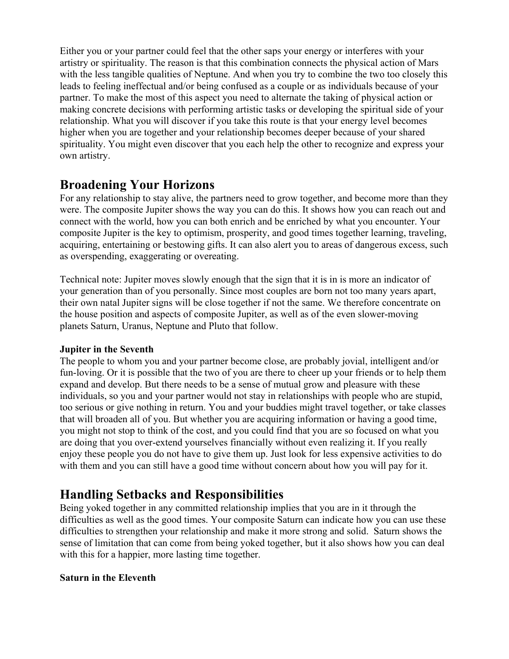Either you or your partner could feel that the other saps your energy or interferes with your artistry or spirituality. The reason is that this combination connects the physical action of Mars with the less tangible qualities of Neptune. And when you try to combine the two too closely this leads to feeling ineffectual and/or being confused as a couple or as individuals because of your partner. To make the most of this aspect you need to alternate the taking of physical action or making concrete decisions with performing artistic tasks or developing the spiritual side of your relationship. What you will discover if you take this route is that your energy level becomes higher when you are together and your relationship becomes deeper because of your shared spirituality. You might even discover that you each help the other to recognize and express your own artistry.

# **Broadening Your Horizons**

For any relationship to stay alive, the partners need to grow together, and become more than they were. The composite Jupiter shows the way you can do this. It shows how you can reach out and connect with the world, how you can both enrich and be enriched by what you encounter. Your composite Jupiter is the key to optimism, prosperity, and good times together learning, traveling, acquiring, entertaining or bestowing gifts. It can also alert you to areas of dangerous excess, such as overspending, exaggerating or overeating.

Technical note: Jupiter moves slowly enough that the sign that it is in is more an indicator of your generation than of you personally. Since most couples are born not too many years apart, their own natal Jupiter signs will be close together if not the same. We therefore concentrate on the house position and aspects of composite Jupiter, as well as of the even slower-moving planets Saturn, Uranus, Neptune and Pluto that follow.

# **Jupiter in the Seventh**

The people to whom you and your partner become close, are probably jovial, intelligent and/or fun-loving. Or it is possible that the two of you are there to cheer up your friends or to help them expand and develop. But there needs to be a sense of mutual grow and pleasure with these individuals, so you and your partner would not stay in relationships with people who are stupid, too serious or give nothing in return. You and your buddies might travel together, or take classes that will broaden all of you. But whether you are acquiring information or having a good time, you might not stop to think of the cost, and you could find that you are so focused on what you are doing that you over-extend yourselves financially without even realizing it. If you really enjoy these people you do not have to give them up. Just look for less expensive activities to do with them and you can still have a good time without concern about how you will pay for it.

# **Handling Setbacks and Responsibilities**

Being yoked together in any committed relationship implies that you are in it through the difficulties as well as the good times. Your composite Saturn can indicate how you can use these difficulties to strengthen your relationship and make it more strong and solid. Saturn shows the sense of limitation that can come from being yoked together, but it also shows how you can deal with this for a happier, more lasting time together.

# **Saturn in the Eleventh**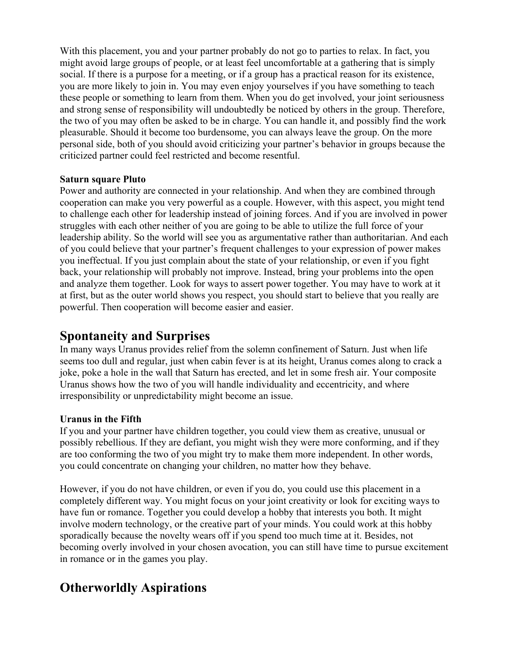With this placement, you and your partner probably do not go to parties to relax. In fact, you might avoid large groups of people, or at least feel uncomfortable at a gathering that is simply social. If there is a purpose for a meeting, or if a group has a practical reason for its existence, you are more likely to join in. You may even enjoy yourselves if you have something to teach these people or something to learn from them. When you do get involved, your joint seriousness and strong sense of responsibility will undoubtedly be noticed by others in the group. Therefore, the two of you may often be asked to be in charge. You can handle it, and possibly find the work pleasurable. Should it become too burdensome, you can always leave the group. On the more personal side, both of you should avoid criticizing your partner's behavior in groups because the criticized partner could feel restricted and become resentful.

# **Saturn square Pluto**

Power and authority are connected in your relationship. And when they are combined through cooperation can make you very powerful as a couple. However, with this aspect, you might tend to challenge each other for leadership instead of joining forces. And if you are involved in power struggles with each other neither of you are going to be able to utilize the full force of your leadership ability. So the world will see you as argumentative rather than authoritarian. And each of you could believe that your partner's frequent challenges to your expression of power makes you ineffectual. If you just complain about the state of your relationship, or even if you fight back, your relationship will probably not improve. Instead, bring your problems into the open and analyze them together. Look for ways to assert power together. You may have to work at it at first, but as the outer world shows you respect, you should start to believe that you really are powerful. Then cooperation will become easier and easier.

# **Spontaneity and Surprises**

In many ways Uranus provides relief from the solemn confinement of Saturn. Just when life seems too dull and regular, just when cabin fever is at its height, Uranus comes along to crack a joke, poke a hole in the wall that Saturn has erected, and let in some fresh air. Your composite Uranus shows how the two of you will handle individuality and eccentricity, and where irresponsibility or unpredictability might become an issue.

# **Uranus in the Fifth**

If you and your partner have children together, you could view them as creative, unusual or possibly rebellious. If they are defiant, you might wish they were more conforming, and if they are too conforming the two of you might try to make them more independent. In other words, you could concentrate on changing your children, no matter how they behave.

However, if you do not have children, or even if you do, you could use this placement in a completely different way. You might focus on your joint creativity or look for exciting ways to have fun or romance. Together you could develop a hobby that interests you both. It might involve modern technology, or the creative part of your minds. You could work at this hobby sporadically because the novelty wears off if you spend too much time at it. Besides, not becoming overly involved in your chosen avocation, you can still have time to pursue excitement in romance or in the games you play.

# **Otherworldly Aspirations**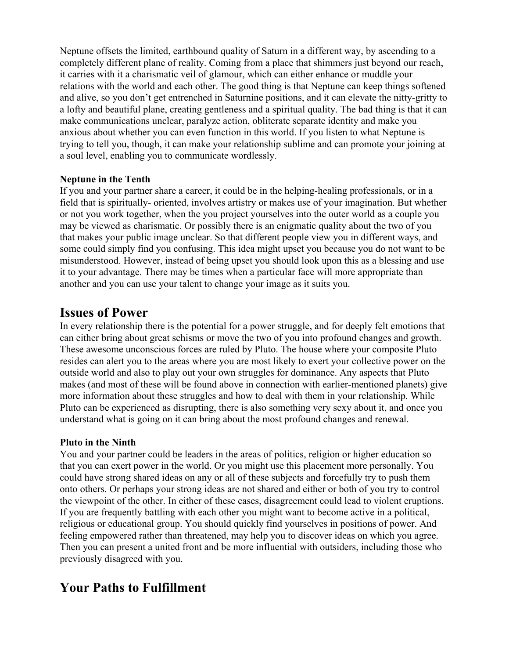Neptune offsets the limited, earthbound quality of Saturn in a different way, by ascending to a completely different plane of reality. Coming from a place that shimmers just beyond our reach, it carries with it a charismatic veil of glamour, which can either enhance or muddle your relations with the world and each other. The good thing is that Neptune can keep things softened and alive, so you don't get entrenched in Saturnine positions, and it can elevate the nitty-gritty to a lofty and beautiful plane, creating gentleness and a spiritual quality. The bad thing is that it can make communications unclear, paralyze action, obliterate separate identity and make you anxious about whether you can even function in this world. If you listen to what Neptune is trying to tell you, though, it can make your relationship sublime and can promote your joining at a soul level, enabling you to communicate wordlessly.

# **Neptune in the Tenth**

If you and your partner share a career, it could be in the helping-healing professionals, or in a field that is spiritually- oriented, involves artistry or makes use of your imagination. But whether or not you work together, when the you project yourselves into the outer world as a couple you may be viewed as charismatic. Or possibly there is an enigmatic quality about the two of you that makes your public image unclear. So that different people view you in different ways, and some could simply find you confusing. This idea might upset you because you do not want to be misunderstood. However, instead of being upset you should look upon this as a blessing and use it to your advantage. There may be times when a particular face will more appropriate than another and you can use your talent to change your image as it suits you.

# **Issues of Power**

In every relationship there is the potential for a power struggle, and for deeply felt emotions that can either bring about great schisms or move the two of you into profound changes and growth. These awesome unconscious forces are ruled by Pluto. The house where your composite Pluto resides can alert you to the areas where you are most likely to exert your collective power on the outside world and also to play out your own struggles for dominance. Any aspects that Pluto makes (and most of these will be found above in connection with earlier-mentioned planets) give more information about these struggles and how to deal with them in your relationship. While Pluto can be experienced as disrupting, there is also something very sexy about it, and once you understand what is going on it can bring about the most profound changes and renewal.

# **Pluto in the Ninth**

You and your partner could be leaders in the areas of politics, religion or higher education so that you can exert power in the world. Or you might use this placement more personally. You could have strong shared ideas on any or all of these subjects and forcefully try to push them onto others. Or perhaps your strong ideas are not shared and either or both of you try to control the viewpoint of the other. In either of these cases, disagreement could lead to violent eruptions. If you are frequently battling with each other you might want to become active in a political, religious or educational group. You should quickly find yourselves in positions of power. And feeling empowered rather than threatened, may help you to discover ideas on which you agree. Then you can present a united front and be more influential with outsiders, including those who previously disagreed with you.

# **Your Paths to Fulfillment**